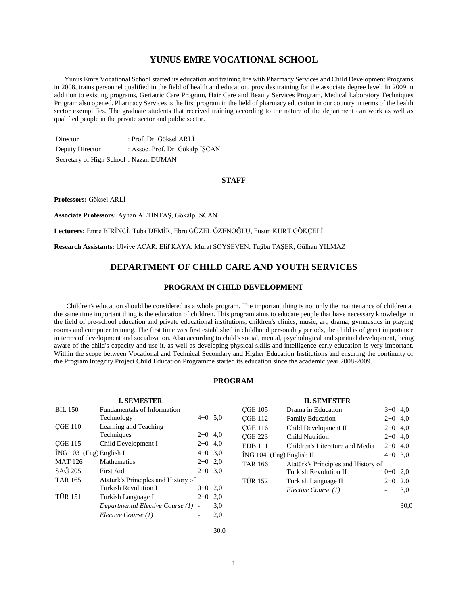# **YUNUS EMRE VOCATIONAL SCHOOL**

 Yunus Emre Vocational School started its education and training life with Pharmacy Services and Child Development Programs in 2008, trains personnel qualified in the field of health and education, provides training for the associate degree level. In 2009 in addition to existing programs, Geriatric Care Program, Hair Care and Beauty Services Program, Medical Laboratory Techniques Program also opened. Pharmacy Services is the first program in the field of pharmacy education in our country in terms of the health sector exemplifies. The graduate students that received training according to the nature of the department can work as well as qualified people in the private sector and public sector.

Director : Prof. Dr. Göksel ARLİ Deputy Director : Assoc. Prof. Dr. Gökalp İŞCAN Secretary of High School : Nazan DUMAN

## **STAFF**

**Professors:** Göksel ARLİ

**Associate Professors:** Ayhan ALTINTAŞ, Gökalp İŞCAN

**Lecturers:** Emre BİRİNCİ, Tuba DEMİR, Ebru GÜZEL ÖZENOĞLU, Füsün KURT GÖKÇELİ

**Research Assistants:** Ulviye ACAR, Elif KAYA, Murat SOYSEVEN, Tuğba TAŞER, Gülhan YILMAZ

# **DEPARTMENT OF CHILD CARE AND YOUTH SERVICES**

## **PROGRAM IN CHILD DEVELOPMENT**

 Children's education should be considered as a whole program. The important thing is not only the maintenance of children at the same time important thing is the education of children. This program aims to educate people that have necessary knowledge in the field of pre-school education and private educational institutions, children's clinics, music, art, drama, gymnastics in playing rooms and computer training. The first time was first established in childhood personality periods, the child is of great importance in terms of development and socialization. Also according to child's social, mental, psychological and spiritual development, being aware of the child's capacity and use it, as well as developing physical skills and intelligence early education is very important. Within the scope between Vocational and Technical Secondary and Higher Education Institutions and ensuring the continuity of the Program Integrity Project Child Education Programme started its education since the academic year 2008-2009.

## **PROGRAM**

| <b>I. SEMESTER</b>                    |                                     |            |           |
|---------------------------------------|-------------------------------------|------------|-----------|
| BIL 150                               |                                     |            |           |
|                                       | Technology                          | $4+0$ 5.0  |           |
| <b>CGE 110</b>                        | Learning and Teaching               |            |           |
|                                       | Techniques                          | $2+0$      | 4,0       |
| <b>CGE 115</b><br>Child Development I |                                     |            | $2+0$ 4,0 |
| $ING 103$ (Eng) English I             |                                     |            | $4+0$ 3.0 |
| <b>MAT 126</b><br><b>Mathematics</b>  |                                     | $2+0$ 2,0  |           |
| $SA\tilde{G}$ 205<br>First Aid        |                                     | $2+0$      | 3.0       |
| <b>TAR 165</b>                        | Atatürk's Principles and History of |            |           |
|                                       | Turkish Revolution I                | $()^{+}()$ | 2,0       |
| <b>TÜR 151</b>                        | Turkish Language I                  | $2+0$      | 2,0       |
|                                       | Departmental Elective Course (1) -  |            | 3,0       |
|                                       | Elective Course (1)                 |            | 2.0       |
|                                       |                                     |            |           |

| <b>II. SEMESTER</b>                                   |                                 |           |           |
|-------------------------------------------------------|---------------------------------|-----------|-----------|
| <b>CGE 105</b>                                        | Drama in Education              | $3+0$ 4,0 |           |
| <b>CGE 112</b>                                        | <b>Family Education</b>         | $2+0$     | 4.0       |
| <b>CGE 116</b>                                        | Child Development II            | $2+0$ 4.0 |           |
| <b>CGE 223</b>                                        | <b>Child Nutrition</b>          | $2+0$ 4.0 |           |
| <b>EDB 111</b>                                        | Children's Literature and Media | $2+0$ 4.0 |           |
| $ING 104$ (Eng) English II                            |                                 |           | $4+0$ 3,0 |
| Atatürk's Principles and History of<br><b>TAR 166</b> |                                 |           |           |
|                                                       | Turkish Revolution II           | $0 + 0$   | 2.0       |
| <b>TÜR 152</b>                                        | Turkish Language II             | $2+0$     | 2,0       |
|                                                       | Elective Course (1)             |           | 3,0       |
|                                                       |                                 |           |           |

 $\frac{1}{30.0}$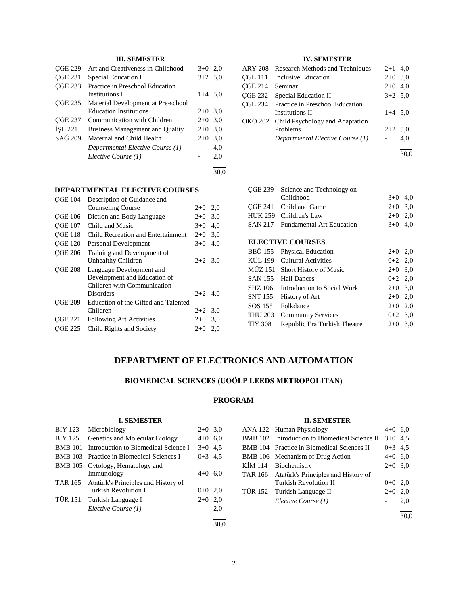# **III. SEMESTER**

| <b>CGE 229</b> | Art and Creativeness in Childhood      | $3+0$ 2,0 |      |
|----------------|----------------------------------------|-----------|------|
| <b>CGE 231</b> | Special Education I                    | $3+2$ 5.0 |      |
| <b>CGE 233</b> | Practice in Preschool Education        |           |      |
|                | Institutions I                         | $1+4$ 5,0 |      |
| <b>CGE 235</b> | Material Development at Pre-school     |           |      |
|                | <b>Education Institutions</b>          | $2+0$ 3.0 |      |
| <b>CGE 237</b> | Communication with Children            | $2+0$ 3.0 |      |
| ISL 221        | <b>Business Management and Quality</b> | $2+0$ 3.0 |      |
| SAĞ 209        | Maternal and Child Health              | $2+0$     | 3,0  |
|                | Departmental Elective Course (1)       |           | 4,0  |
|                | Elective Course (1)                    |           | 2,0  |
|                |                                        |           | 30.0 |

## **DEPARTMENTAL ELECTIVE COURSES**

| <b>CGE 104</b> | Description of Guidance and          |           |     |
|----------------|--------------------------------------|-----------|-----|
|                | <b>Counseling Course</b>             | $2+0$ 2,0 |     |
| <b>CGE 106</b> | Diction and Body Language            | $2+0$     | 3,0 |
| <b>CGE 107</b> | Child and Music                      | $3+0$     | 4.0 |
| <b>CGE 118</b> | Child Recreation and Entertainment   | $2+0$     | 3,0 |
| <b>CGE 120</b> | Personal Development                 | $3+0$     | 4.0 |
| <b>CGE 206</b> | Training and Development of          |           |     |
|                | <b>Unhealthy Children</b>            | $2+2$ 3.0 |     |
| <b>CGE 208</b> | Language Development and             |           |     |
|                | Development and Education of         |           |     |
|                | Children with Communication          |           |     |
|                | Disorders                            | $2+2$ 4.0 |     |
| <b>CGE 209</b> | Education of the Gifted and Talented |           |     |
|                | Children                             | $2+2$     | 3,0 |
| <b>CGE 221</b> | <b>Following Art Activities</b>      | $2+0$     | 3,0 |
| <b>CGE 225</b> | Child Rights and Society             | $2+0$     | 2,0 |
|                |                                      |           |     |

# **IV. SEMESTER**

| <b>ARY 208</b> | Research Methods and Techniques         | $2+1$ 4,0 |      |
|----------------|-----------------------------------------|-----------|------|
| <b>CGE 111</b> | Inclusive Education                     | $2+0$ 3,0 |      |
| <b>CGE 214</b> | Seminar                                 | $2+0$ 4.0 |      |
| CGE 232        | Special Education II                    | $3+2$ 5,0 |      |
|                | CGE 234 Practice in Preschool Education |           |      |
|                | Institutions II                         | $1+4$ 5,0 |      |
|                | OKÖ 202 Child Psychology and Adaptation |           |      |
|                | Problems                                | $2+2$ 5,0 |      |
|                | Departmental Elective Course (1)        |           | 4,0  |
|                |                                         |           | 30,0 |
|                |                                         |           |      |

| <b>CGE 239</b> | Science and Technology on        |           |     |
|----------------|----------------------------------|-----------|-----|
|                | Childhood                        | $3+0$     | 4,0 |
| CGE 241        | Child and Game                   | $2+0$     | 3,0 |
| HUK 259        | Children's Law                   | $2+0$     | 2,0 |
| <b>SAN 217</b> | <b>Fundamental Art Education</b> | $3+0$     | 4,0 |
|                |                                  |           |     |
|                | <b>ELECTIVE COURSES</b>          |           |     |
| <b>BEÖ</b> 155 | <b>Physical Education</b>        | $2+0$     | 2,0 |
| KÜL 199        | Cultural Activities              | $0+2$ 2,0 |     |
|                | MÜZ 151 Short History of Music   | $2+0$ 3,0 |     |
| SAN 155        | <b>Hall Dances</b>               | $0+2$ 2,0 |     |
| SHZ 106        | Introduction to Social Work      | $2 + 0$   | 3,0 |
| <b>SNT 155</b> | History of Art                   | $2+0$     | 2,0 |
| SOS 155        | Folkdance                        | $2+0$     | 2,0 |
| <b>THU 203</b> | <b>Community Services</b>        | $0+2$ 3.0 |     |
| <b>TIY 308</b> | Republic Era Turkish Theatre     | $2+0$     | 3,0 |
|                |                                  |           |     |

# **DEPARTMENT OF ELECTRONICS AND AUTOMATION**

# **BIOMEDICAL SCIENCES (UOÖLP LEEDS METROPOLITAN)**

# **PROGRAM**

## **I. SEMESTER**

| BIY 123 | Microbiology                                 | $2+0$ 3,0 |     |
|---------|----------------------------------------------|-----------|-----|
|         | BİY 125 Genetics and Molecular Biology       | $4+0$ 6,0 |     |
|         | BMB 101 Introduction to Biomedical Science I | $3+0$ 4.5 |     |
|         | BMB 103 Practice in Biomedical Sciences I    | $0+3$ 4.5 |     |
|         | BMB 105 Cytology, Hematology and             |           |     |
|         | Immunology                                   | $4+0$ 6,0 |     |
|         | TAR 165 Atatürk's Principles and History of  |           |     |
|         | <b>Turkish Revolution I</b>                  | $0+0$ 2,0 |     |
|         | TÜR 151 Turkish Language I                   | $2+0$ 2,0 |     |
|         | Elective Course (1)                          |           | 2.0 |
|         |                                              |           |     |

**II. SEMESTER**

| п. эерпезик |                                               |           |     |  |
|-------------|-----------------------------------------------|-----------|-----|--|
|             | ANA 122 Human Physiology                      | $4+0$ 6.0 |     |  |
|             | BMB 102 Introduction to Biomedical Science II | $3+0$ 4.5 |     |  |
|             | BMB 104 Practice in Biomedical Sciences II    | $0+3$ 4.5 |     |  |
|             | BMB 106 Mechanism of Drug Action              | $4+0$ 6,0 |     |  |
|             | KIM 114 Biochemistry                          | $2+0$ 3.0 |     |  |
|             | TAR 166 Atatürk's Principles and History of   |           |     |  |
|             | <b>Turkish Revolution II</b>                  | $0+0$ 2.0 |     |  |
|             | TÜR 152 Turkish Language II                   | $2+0$ 2,0 |     |  |
|             | Elective Course (1)                           |           | 2,0 |  |
|             |                                               |           |     |  |
|             |                                               |           |     |  |

30,0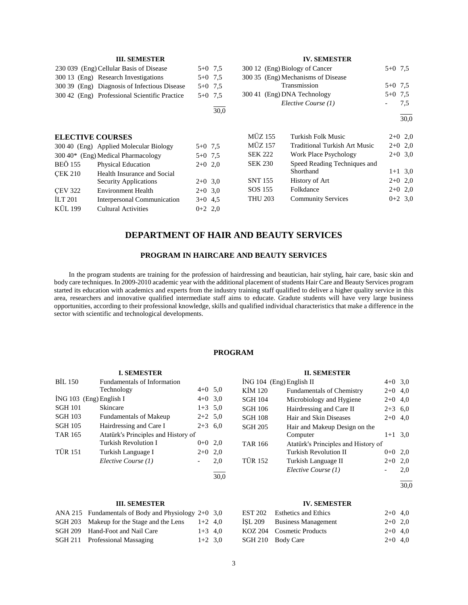|                         | <b>III. SEMESTER</b>                          |           |           |                | <b>IV. SEMESTER</b>                  |           |           |
|-------------------------|-----------------------------------------------|-----------|-----------|----------------|--------------------------------------|-----------|-----------|
|                         | 230 039 (Eng) Cellular Basis of Disease       |           | $5+0$ 7.5 |                | 300 12 (Eng) Biology of Cancer       | $5+0$ 7.5 |           |
|                         | 300.13 (Eng) Research Investigations          |           | $5+0$ 7.5 |                | 300 35 (Eng) Mechanisms of Disease   |           |           |
|                         | 300.39 (Eng) Diagnosis of Infectious Disease  |           | $5+0$ 7.5 |                | Transmission                         | $5+0$ 7.5 |           |
|                         | 300.42 (Eng) Professional Scientific Practice |           | $5+0$ 7.5 |                | 300 41 (Eng) DNA Technology          | $5+0$ 7,5 |           |
|                         |                                               |           | 30,0      |                | Elective Course (1)                  |           | 7.5       |
|                         |                                               |           |           |                |                                      |           | 30,0      |
| <b>ELECTIVE COURSES</b> |                                               |           |           | <b>MÜZ 155</b> | Turkish Folk Music                   |           | $2+0$ 2,0 |
|                         | 300.40 (Eng) Applied Molecular Biology        | $5+0$ 7.5 |           | <b>MÜZ 157</b> | <b>Traditional Turkish Art Music</b> |           | $2+0$ 2,0 |
|                         | $300\,40*$ (Eng) Medical Pharmacology         | $5+0$ 7.5 |           | <b>SEK 222</b> | Work Place Psychology                |           | $2+0$ 3,0 |
| <b>BEÖ 155</b>          | <b>Physical Education</b>                     | $2+0$ 2,0 |           | <b>SEK 230</b> | Speed Reading Techniques and         |           |           |
| <b>CEK 210</b>          | Health Insurance and Social                   |           |           |                | Shorthand                            |           | $1+1$ 3,0 |
|                         | <b>Security Applications</b>                  | $2+0$ 3.0 |           | <b>SNT 155</b> | History of Art                       |           | $2+0$ 2,0 |
| <b>CEV 322</b>          | <b>Environment Health</b>                     | $2+0$ 3.0 |           | SOS 155        | Folkdance                            |           | $2+0$ 2,0 |
| ILT $201$               | Interpersonal Communication                   | $3+0$ 4.5 |           | <b>THU 203</b> | <b>Community Services</b>            |           | $0+2$ 3.0 |
| <b>KÜL 199</b>          | <b>Cultural Activities</b>                    | $0+2$ 2,0 |           |                |                                      |           |           |

# **DEPARTMENT OF HAIR AND BEAUTY SERVICES**

## **PROGRAM IN HAIRCARE AND BEAUTY SERVICES**

 In the program students are training for the profession of hairdressing and beautician, hair styling, hair care, basic skin and body care techniques. In 2009-2010 academic year with the additional placement of students Hair Care and Beauty Services program started its education with academics and experts from the industry training staff qualified to deliver a higher quality service in this area, researchers and innovative qualified intermediate staff aims to educate. Gradute students will have very large business opportunities, according to their professional knowledge, skills and qualified individual characteristics that make a difference in the sector with scientific and technological developments.

## **PROGRAM**

### **II. SEMESTER**

| $ING 104$ (Eng) English II |                                     |           | $4+0$ 3,0 |
|----------------------------|-------------------------------------|-----------|-----------|
| KİM 120                    | <b>Fundamentals of Chemistry</b>    | $2+0$ 4,0 |           |
| <b>SGH 104</b>             | Microbiology and Hygiene            | $2+0$     | 4.0       |
| <b>SGH 106</b>             | Hairdressing and Care II            | $2 + 3$   | 6,0       |
| <b>SGH 108</b>             | Hair and Skin Diseases              | $2+0$     | 4,0       |
| <b>SGH 205</b>             | Hair and Makeup Design on the       |           |           |
|                            | Computer                            | $1+1$     | 3.0       |
| <b>TAR 166</b>             | Atatürk's Principles and History of |           |           |
|                            | <b>Turkish Revolution II</b>        | $0 + 0$   | 2.0       |
| <b>TÜR 152</b>             | Turkish Language II                 | $2+0$     | 2.0       |
|                            | Elective Course (1)                 |           | 2,0       |
|                            |                                     |           |           |

l 30,0

## **III. SEMESTER**

**I. SEMESTER**

 $i$ NG 103 (Eng) English I 4+0 3,0 SGH 101 Skincare 1+3 5,0<br>SGH 103 Fundamentals of Makeup 2+2 5,0

SGH 105 Hairdressing and Care I 2+3 6,0

TÜR 151 Turkish Language I 2+0 2,0

TAR 165 Atatürk's Principles and History of

Technology 4+0 5,0

Turkish Revolution I  $0+0$  2,0

*Elective Course (1)* - 2,0

BİL 150 Fundamentals of Information

SGH 103 Fundamentals of Makeup

| ANA 215 Fundamentals of Body and Physiology $2+0$ 3,0 |           |  |
|-------------------------------------------------------|-----------|--|
| SGH 203 Makeup for the Stage and the Lens             | $1+2$ 4.0 |  |
| SGH 209 Hand-Foot and Nail Care                       | $1+3$ 4.0 |  |
| SGH 211 Professional Massaging                        | $1+2$ 3.0 |  |

## **IV. SEMESTER**

| EST 202 Esthetics and Ethics | $2+0$ 4.0 |  |
|------------------------------|-----------|--|
| ISL 209 Business Management  | $2+0$ 2.0 |  |
| KOZ 204 Cosmetic Products    | $2+0$ 4.0 |  |
| SGH 210 Body Care            | $2+0$ 4.0 |  |

l 30,0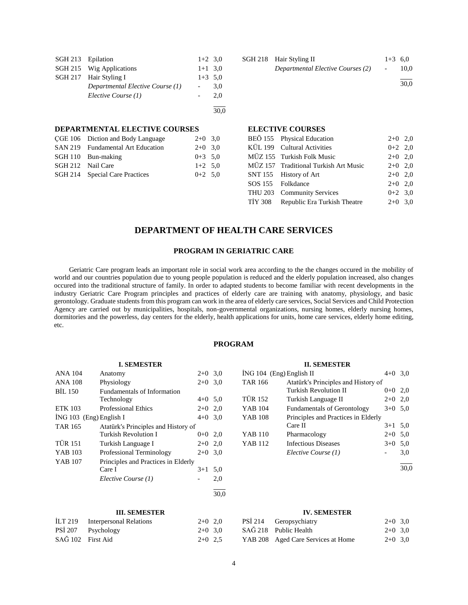| SGH 213 Epilation |                                  | $1+2$ 3.0 |     |
|-------------------|----------------------------------|-----------|-----|
|                   | SGH 215 Wig Applications         | $1+1$ 3.0 |     |
|                   | SGH 217 Hair Styling I           | $1+3$ 5.0 |     |
|                   | Departmental Elective Course (1) |           | 3.0 |
|                   | Elective Course (1)              |           | 2.0 |
|                   |                                  |           |     |
|                   |                                  |           |     |

#### **DEPARTMENTAL ELECTIVE COURSES**

| CGE 106 Diction and Body Language | $2+0$ 3,0 |  |
|-----------------------------------|-----------|--|
| SAN 219 Fundamental Art Education | $2+0$ 3.0 |  |
| SGH 110 Bun-making                | $0+3$ 5.0 |  |
| SGH 212 Nail Care                 | $1+2$ 5.0 |  |
| SGH 214 Special Care Practices    | $0+2$ 5.0 |  |
|                                   |           |  |

| SGH 218 Hair Styling II<br>Departmental Elective Courses (2) | $1+3$ 6.0<br>$\sim$ $ \sim$ | 10.0 |
|--------------------------------------------------------------|-----------------------------|------|
|                                                              |                             | 30.0 |

#### **ELECTIVE COURSES**

| BEÖ 155 Physical Education            | $2+0$ 2,0 |  |
|---------------------------------------|-----------|--|
| KÜL 199 Cultural Activities           | $0+2$ 2,0 |  |
| MÜZ 155 Turkish Folk Music            | $2+0$ 2,0 |  |
| MÜZ 157 Traditional Turkish Art Music | $2+0$ 2,0 |  |
| SNT 155 History of Art                | $2+0$ 2,0 |  |
| SOS 155 Folkdance                     | $2+0$ 2,0 |  |
| THU 203 Community Services            | $0+2$ 3.0 |  |
| TİY 308 Republic Era Turkish Theatre  | $2+0$ 3.0 |  |
|                                       |           |  |

# **DEPARTMENT OF HEALTH CARE SERVICES**

## **PROGRAM IN GERIATRIC CARE**

 Geriatric Care program leads an important role in social work area according to the the changes occured in the mobility of world and our countries population due to young people population is reduced and the elderly population increased, also changes occured into the traditional structure of family. In order to adapted students to become familiar with recent developments in the industry Geriatric Care Program principles and practices of elderly care are training with anatomy, physiology, and basic gerontology. Graduate students from this program can work in the area of elderly care services, Social Services and Child Protection Agency are carried out by municipalities, hospitals, non-governmental organizations, nursing homes, elderly nursing homes, dormitories and the powerless, day centers for the elderly, health applications for units, home care services, elderly home editing, etc.

## **PROGRAM**

## ANA 104 Anatomy 2+0 3,0 ANA  $108$  Physiology 2+0 3,0 BİL 150 Fundamentals of Information Technology  $4+0$  5,0 ETK 103 Professional Ethics 2+0 2,0  $i$ NG 103 (Eng) English I 4+0 3,0 TAR 165 Atatürk's Principles and History of Turkish Revolution I  $0+0$  2,0 TÜR 151 Turkish Language I  $2+0$  2,0 YAB 103 Professional Terminology 2+0 3.0

**I. SEMESTER**

| $1 \Delta D$ $10 \sigma$ | Troncssional Terminology            | $2 + 0$ $3.0$ |     |
|--------------------------|-------------------------------------|---------------|-----|
| YAB 107                  | Principles and Practices in Elderly |               |     |
|                          | Care I                              | $3+1$ 5.0     |     |
|                          | Elective Course (1)                 |               | 2.0 |
|                          |                                     |               |     |

#### **III. SEMESTER**

|                   | İLT 219 Interpersonal Relations | $2+0$ 2,0 |  |
|-------------------|---------------------------------|-----------|--|
|                   | PSİ 207 Psychology              | $2+0$ 3,0 |  |
| SAĞ 102 First Aid |                                 | $2+0$ 2.5 |  |

| $ING 104$ (Eng) English II |                                     | $4+0$ 3,0 |     |
|----------------------------|-------------------------------------|-----------|-----|
| TAR 166                    | Atatürk's Principles and History of |           |     |
|                            | <b>Turkish Revolution II</b>        | $0+0$ 2,0 |     |
| TÜR 152                    | Turkish Language II                 | $2+0$ 2,0 |     |
| YAB 104                    | <b>Fundamentals of Gerontology</b>  | $3+0$ 5,0 |     |
| <b>YAB 108</b>             | Principles and Practices in Elderly |           |     |
|                            | Care II                             | $3+1$ 5.0 |     |
| YAB 110                    | Pharmacology                        | $2+0$ 5,0 |     |
| YAB 112                    | <b>Infectious Diseases</b>          | $3+0$ 5.0 |     |
|                            | Elective Course (1)                 |           | 3,0 |

**II. SEMESTER**

#### l 30,0

## **IV. SEMESTER**

| PSİ 214 Geropsychiatry             | $2+0$ 3,0 |  |
|------------------------------------|-----------|--|
| SAĞ 218 Public Health              | $2+0$ 3,0 |  |
| YAB 208 Aged Care Services at Home | $2+0$ 3,0 |  |

30,0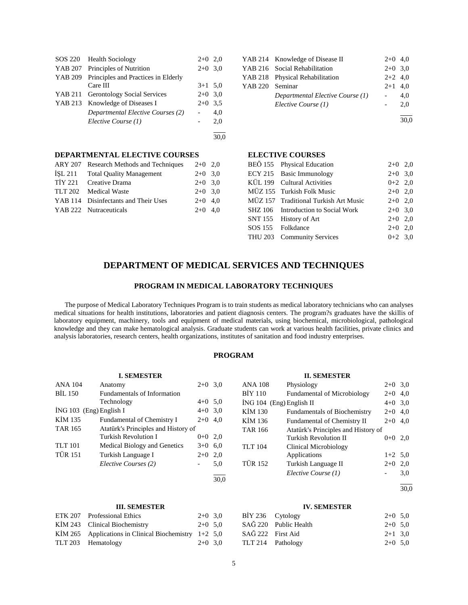|         | SOS 220 Health Sociology            | $2+0$ 2,0 |     |
|---------|-------------------------------------|-----------|-----|
|         | YAB 207 Principles of Nutrition     | $2+0$ 3.0 |     |
| YAB 209 | Principles and Practices in Elderly |           |     |
|         | Care III                            | $3+1$ 5.0 |     |
|         | YAB 211 Gerontology Social Services | $2+0$ 3.0 |     |
|         | YAB 213 Knowledge of Diseases I     | $2+0$ 3.5 |     |
|         | Departmental Elective Courses (2)   |           | 4,0 |
|         | Elective Course (1)                 |           | 2.0 |
|         |                                     |           |     |

30,0

# **DEPARTMENTAL ELECTIVE COURSES**

| ARY 207 Research Methods and Techniques | $2+0$ 2,0 |  |
|-----------------------------------------|-----------|--|
| ISL 211 Total Quality Management        | $2+0$ 3.0 |  |
| TİY 221 Creative Drama                  | $2+0$ 3.0 |  |
| TLT 202 Medical Waste                   | $2+0$ 3.0 |  |
| YAB 114 Disinfectants and Their Uses    | $2+0$ 4.0 |  |
| YAB 222 Nutraceuticals                  | $2+0$ 4.0 |  |
|                                         |           |  |

|                 | YAB 214 Knowledge of Disease II  | $2+0$ 4.0 |     |
|-----------------|----------------------------------|-----------|-----|
|                 | YAB 216 Social Rehabilitation    | $2+0$ 3,0 |     |
|                 | YAB 218 Physical Rehabilitation  | $2+2$ 4,0 |     |
| YAB 220 Seminar |                                  | $2+1$ 4.0 |     |
|                 | Departmental Elective Course (1) |           | 4.0 |
|                 | Elective Course (1)              |           | 2.0 |
|                 |                                  |           |     |

30,0

# **ELECTIVE COURSES**

| BEÖ 155 Physical Education            | $2+0$ 2,0 |  |
|---------------------------------------|-----------|--|
| ECY 215 Basic Immunology              | $2+0$ 3,0 |  |
| KÜL 199 Cultural Activities           | $0+2$ 2,0 |  |
| MÜZ 155 Turkish Folk Music            | $2+0$ 2,0 |  |
| MÜZ 157 Traditional Turkish Art Music | $2+0$ 2,0 |  |
| SHZ 106 Introduction to Social Work   | $2+0$ 3,0 |  |
| SNT 155 History of Art                | $2+0$ 2,0 |  |
| SOS 155 Folkdance                     | $2+0$ 2.0 |  |
| THU 203 Community Services            | $0+2$ 3.0 |  |
|                                       |           |  |

# **DEPARTMENT OF MEDICAL SERVICES AND TECHNIQUES**

## **PROGRAM IN MEDICAL LABORATORY TECHNIQUES**

 The purpose of Medical Laboratory Techniques Program is to train students as medical laboratory technicians who can analyses medical situations for health institutions, laboratories and patient diagnosis centers. The program?s graduates have the skillis of laboratory equipment, machinery, tools and equipment of medical materials, using biochemical, microbiological, pathological knowledge and they can make hematological analysis. Graduate students can work at various health facilities, private clinics and analysis laboratories, research centers, health organizations, institutes of sanitation and food industry enterprises.

## **PROGRAM**

|                         | <b>I. SEMESTER</b>                  |           |      |                            | <b>II. SEMESTER</b>                 |           |      |
|-------------------------|-------------------------------------|-----------|------|----------------------------|-------------------------------------|-----------|------|
| <b>ANA 104</b>          | Anatomy                             | $2+0$ 3.0 |      | <b>ANA 108</b>             | Physiology                          | $2+0$ 3,0 |      |
| <b>BIL 150</b>          | Fundamentals of Information         |           |      | BIY 110                    | <b>Fundamental of Microbiology</b>  | $2+0$ 4,0 |      |
|                         | Technology                          | $4+0$ 5,0 |      | $ING 104$ (Eng) English II |                                     | $4+0$ 3,0 |      |
| ING 103 (Eng) English I |                                     | $4+0$ 3.0 |      | KIM 130                    | <b>Fundamentals of Biochemistry</b> | $2+0$ 4,0 |      |
| KIM 135                 | Fundamental of Chemistry I          | $2+0$ 4,0 |      | KİM 136                    | Fundamental of Chemistry II         | $2+0$ 4,0 |      |
| <b>TAR 165</b>          | Atatürk's Principles and History of |           |      | <b>TAR 166</b>             | Atatürk's Principles and History of |           |      |
|                         | Turkish Revolution I                | $0+0$ 2,0 |      |                            | Turkish Revolution II               | $0+0$ 2,0 |      |
| <b>TLT</b> 101          | Medical Biology and Genetics        | $3+0$ 6.0 |      | <b>TLT 104</b>             | Clinical Microbiology               |           |      |
| <b>TÜR 151</b>          | Turkish Language I                  | $2+0$ 2,0 |      |                            | Applications                        | $1+2$ 5,0 |      |
|                         | Elective Courses (2)                | -         | 5,0  | <b>TÜR 152</b>             | Turkish Language II                 | $2+0$ 2,0 |      |
|                         |                                     |           | 30,0 |                            | Elective Course (1)                 |           | 3,0  |
|                         |                                     |           |      |                            |                                     |           | 30.0 |

#### **III. SEMESTER**

| ETK 207 Professional Ethics                             | $2+0$ 3.0 |  |
|---------------------------------------------------------|-----------|--|
| KIM 243 Clinical Biochemistry                           | $2+0$ 5.0 |  |
| KIM 265 Applications in Clinical Biochemistry $1+2$ 5,0 |           |  |
| TLT 203 Hematology                                      | $2+0$ 3.0 |  |

## **IV. SEMESTER**

| BİY 236 Cytology  |                       | $2+0$ 5.0 |  |
|-------------------|-----------------------|-----------|--|
|                   | SAĞ 220 Public Health | $2+0$ 5.0 |  |
| SAĞ 222 First Aid |                       | $2+1$ 3.0 |  |
|                   | TLT 214 Pathology     | $2+0$ 5,0 |  |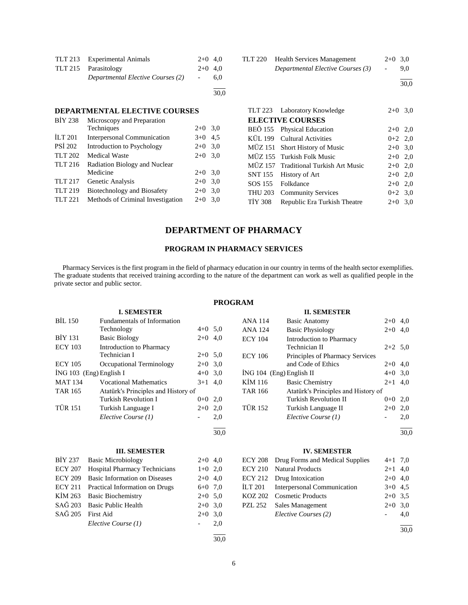| TLT 213 Experimental Animals      | $2+0$ 4.0 |     |
|-----------------------------------|-----------|-----|
| TLT 215 Parasitology              | $2+0$ 4.0 |     |
| Departmental Elective Courses (2) | $\sim$    | 6.0 |
|                                   |           |     |

İLT 201 Interpersonal Communication 3+0 4,5 PSİ 202 Introduction to Psychology 2+0 3,0 TLT 202 Medical Waste 2+0 3,0

TLT 217 Genetic Analysis 2+0 3,0 TLT 219 Biotechnology and Biosafety 2+0 3,0 TLT 221 Methods of Criminal Investigation 2+0 3,0

Techniques 2+0 3,0

**DEPARTMENTAL ELECTIVE COURSES**

BİY 238 Microscopy and Preparation

TLT 216 Radiation Biology and Nuclear<br>Medicine

| TLT 220 | <b>Health Services Management</b> |     | $2+0$ 3.0 |
|---------|-----------------------------------|-----|-----------|
|         | Departmental Elective Courses (3) | $-$ | 9.0       |

l  $\frac{1}{30,0}$ 

|         | TLT 223 Laboratory Knowledge          | $2+0$ 3,0 |  |
|---------|---------------------------------------|-----------|--|
|         | <b>ELECTIVE COURSES</b>               |           |  |
|         | BEÖ 155 Physical Education            | $2+0$ 2,0 |  |
|         | KÜL 199 Cultural Activities           | $0+2$ 2,0 |  |
|         | MÜZ 151 Short History of Music        | $2+0$ 3,0 |  |
|         | MÜZ 155 Turkish Folk Music            | $2+0$ 2,0 |  |
|         | MÜZ 157 Traditional Turkish Art Music | $2+0$ 2,0 |  |
|         | SNT 155 History of Art                | $2+0$ 2,0 |  |
|         | SOS 155 Folkdance                     | $2+0$ 2.0 |  |
|         | THU 203 Community Services            | $0+2$ 3.0 |  |
| TIY 308 | Republic Era Turkish Theatre          | $2+0$ 3.0 |  |

# **DEPARTMENT OF PHARMACY**

30,0

 $2+0$  3,0

## **PROGRAM IN PHARMACY SERVICES**

 Pharmacy Services is the first program in the field of pharmacy education in our country in terms of the health sector exemplifies. The graduate students that received training according to the nature of the department can work as well as qualified people in the private sector and public sector.

## **PROGRAM**

|                | <b>I. SEMESTER</b>                   |                          |      |                | <b>II. SEMESTER</b>                 |           |      |
|----------------|--------------------------------------|--------------------------|------|----------------|-------------------------------------|-----------|------|
| <b>BIL 150</b> | <b>Fundamentals of Information</b>   |                          |      | <b>ANA 114</b> | <b>Basic Anatomy</b>                | $2+0$ 4,0 |      |
|                | Technology                           | $4+0$ 5.0                |      | <b>ANA 124</b> | <b>Basic Physiology</b>             | $2 + 0$   | 4,0  |
| <b>BIY 131</b> | <b>Basic Biology</b>                 | $2+0$                    | 4,0  | <b>ECY 104</b> | Introduction to Pharmacy            |           |      |
| <b>ECY 103</b> | Introduction to Pharmacy             |                          |      |                | Technician II                       | $2+2$ 5,0 |      |
|                | Technician I                         | $2+0$ 5.0                |      | <b>ECY 106</b> | Principles of Pharmacy Services     |           |      |
| <b>ECY 105</b> | Occupational Terminology             | $2+0$                    | 3,0  |                | and Code of Ethics                  | $2+0$ 4,0 |      |
|                | İNG 103 (Eng) English I              | $4 + 0$                  | 3,0  |                | İNG 104 (Eng) English II            | $4+0$ 3,0 |      |
| <b>MAT 134</b> | <b>Vocational Mathematics</b>        | $3 + 1$                  | 4,0  | KIM 116        | <b>Basic Chemistry</b>              | $2+1$ 4,0 |      |
| <b>TAR 165</b> | Atatürk's Principles and History of  |                          |      | <b>TAR 166</b> | Atatürk's Principles and History of |           |      |
|                | <b>Turkish Revolution I</b>          | $0 + 0$                  | 2,0  |                | <b>Turkish Revolution II</b>        | $0+0$     | 2,0  |
| <b>TÜR 151</b> | Turkish Language I                   | $2+0$                    | 2,0  | <b>TÜR 152</b> | Turkish Language II                 | $2+0$     | 2,0  |
|                | Elective Course (1)                  | $\overline{\phantom{a}}$ | 2,0  |                | Elective Course (1)                 |           | 2,0  |
|                |                                      |                          | 30,0 |                |                                     |           | 30,0 |
|                |                                      |                          |      |                |                                     |           |      |
|                |                                      |                          |      |                |                                     |           |      |
|                | <b>III. SEMESTER</b>                 |                          |      |                | <b>IV. SEMESTER</b>                 |           |      |
| <b>BIY 237</b> | <b>Basic Microbiology</b>            | $2+0$ 4,0                |      | <b>ECY 208</b> | Drug Forms and Medical Supplies     | $4+1$ 7,0 |      |
| <b>ECY 207</b> | <b>Hospital Pharmacy Technicians</b> | $1+0$                    | 2,0  | <b>ECY 210</b> | <b>Natural Products</b>             | $2+1$ 4,0 |      |
| <b>ECY 209</b> | <b>Basic Information on Diseases</b> | $2+0$                    | 4,0  | <b>ECY 212</b> | Drug Intoxication                   | $2 + 0$   | 4,0  |
| <b>ECY 211</b> | Practical Information on Drugs       | $6 + 0$                  | 7,0  | <b>İLT 201</b> | Interpersonal Communication         | $3+0$ 4.5 |      |
| KİM 263        | <b>Basic Biochemistry</b>            | $2+0$                    | 5,0  | <b>KOZ 202</b> | <b>Cosmetic Products</b>            | $2+0$ 3,5 |      |
| SAĞ 203        | <b>Basic Public Health</b>           | $2+0$                    | 3,0  | <b>PZL 252</b> | Sales Management                    | $2+0$ 3,0 |      |
| SAĞ 205        | <b>First Aid</b>                     | $2+0$ 3.0                |      |                | Elective Courses (2)                |           | 4,0  |
|                | Elective Course (1)                  | $\overline{\phantom{a}}$ | 2,0  |                |                                     |           |      |
|                |                                      |                          |      |                |                                     |           | 30,0 |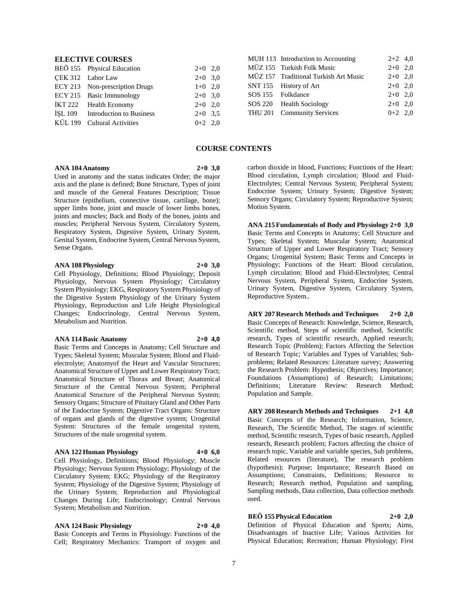## **ELECTIVE COURSES**

| BEÖ 155 Physical Education       | $2+0$ 2,0 |  |
|----------------------------------|-----------|--|
| CEK 312 Labor Law                | $2+0$ 3,0 |  |
| ECY 213 Non-prescription Drugs   | $1+0$ 2,0 |  |
| ECY 215 Basic Immunology         | $2+0$ 3,0 |  |
| IKT 222 Health Economy           | $2+0$ 2,0 |  |
| ISL 109 Introduction to Business | $2+0$ 3.5 |  |
| KÜL 199 Cultural Activities      | $0+2$ 2,0 |  |

|  | MUH 113 Introduction to Accounting    | $2+2$ 4,0 |  |
|--|---------------------------------------|-----------|--|
|  | MÜZ 155 Turkish Folk Music            | $2+0$ 2,0 |  |
|  | MÜZ 157 Traditional Turkish Art Music | $2+0$ 2,0 |  |
|  | SNT 155 History of Art                | $2+0$ 2,0 |  |
|  | SOS 155 Folkdance                     | $2+0$ 2,0 |  |
|  | SOS 220 Health Sociology              | $2+0$ 2.0 |  |
|  | THU 201 Community Services            | $0+2$ 2.0 |  |
|  |                                       |           |  |

## **COURSE CONTENTS**

## **ANA 104 Anatomy 2+0 3,0**

Used in anatomy and the status indicates Order; the major axis and the plane is defined; Bone Structure, Types of joint and muscle of the General Features Description; Tissue Structure (epithelium, connective tissue, cartilage, bone); upper limbs bone, joint and muscle of lower limbs bones, joints and muscles; Back and Body of the bones, joints and muscles; Peripheral Nervous System, Circulatory System, Respiratory System, Digestive System, Urinary System, Genital System, Endocrine System, Central Nervous System, Sense Organs.

## **ANA 108 Physiology 2+0 3,0**

Cell Physiology, Definitions; Blood Physiology; Deposit Physiology, Nervous System Physiology; Circulatory System Physiology; EKG, Respiratory System Physiology of the Digestive System Physiology of the Urinary System Physiology, Reproduction and Life Height Physiological Changes; Endocrinology, Central Nervous System, Metabolism and Nutrition.

#### **ANA 114 Basic Anatomy 2+0 4,0**

Basic Terms and Concepts in Anatomy; Cell Structure and Types; Skeletal System; Muscular System; Blood and Fluidelectrolyte; Anatomyof the Heart and Vascular Structures; Anatomical Structure of Upper and Lower Respiratory Tract; Anatomical Structure of Thorax and Breast; Anatomical

Structure of the Central Nervous System; Peripheral Anatomical Structure of the Peripheral Nervous System; Sensory Organs; Structure of Pituitary Gland and Other Parts of the Endocrine System; Digestive Tract Organs: Structure of organs and glands of the digestive system; Urogenital System: Structures of the female urogenital system, Structures of the male urogenital system.

## **ANA 122 Human Physiology 4+0 6,0**

Cell Physiology, Definitions; Blood Physiology; Muscle Physiology; Nervous System Physiology; Physiology of the Circulatory System; EKG; Physiology of the Respiratory System; Physiology of the Digestive System; Physiology of the Urinary System; Reproduction and Physiological Changes During Life; Endocrinology; Central Nervous System; Metabolism and Nutrition.

**ANA 124 Basic Physiology 2+0 4,0** Basic Concepts and Terms in Physiology: Functions of the Cell; Respiratory Mechanics: Transport of oxygen and

carbon dioxide in blood, Functions; Functions of the Heart: Blood circulation, Lymph circulation; Blood and Fluid-Electrolytes; Central Nervous System; Peripheral System; Endocrine System; Urinary System; Digestive System; Sensory Organs; Circulatory System; Reproductive System; Motion System.

**ANA 215 Fundamentals of Body and Physiology 2+0 3,0** Basic Terms and Concepts in Anatomy; Cell Structure and Types; Skeletal System; Muscular System; Anatomical Structure of Upper and Lower Respiratory Tract; Sensory Organs; Urogenital System; Basic Terms and Concepts in Physiology; Functions of the Heart: Blood circulation, Lymph circulation; Blood and Fluid-Electrolytes; Central Nervous System, Peripheral System, Endocrine System, Urinary System, Digestive System, Circulatory System, Reproductive System..

**ARY 207 Research Methods and Techniques 2+0 2,0** Basic Concepts of Research: Knowledge, Science, Research, Scientific method, Steps of scientific method, Scientific research, Types of scientific research, Applied research; Research Topic (Problem); Factors Affecting the Selection of Research Topic; Variables and Types of Variables; Subproblems; Related Resources: Literature survey; Answering the Research Problem: Hypothesis; Objectives; Importance; Foundations (Assumptions) of Research; Limitations; Definitions; Literature Review: Research Method; Population and Sample.

**ARY 208 Research Methods and Techniques 2+1 4,0** Basic Concepts of the Research; Information, Science, Research, The Scientific Method, The stages of scientific method, Scientific research, Types of basic research, Applied research, Research problem; Factors affecting the choice of research topic, Variable and variable species, Sub problems, Related resources (literature), The research problem (hypothesis); Purpose; Importance; Research Based on Assumptions; Constraints, Definitions; Resource to Research; Research method, Population and sampling, Sampling methods, Data collection, Data collection methods used.

## **BEÖ 155 Physical Education 2+0 2,0**

Definition of Physical Education and Sports; Aims, Disadvantages of Inactive Life; Various Activities for Physical Education; Recreation; Human Physiology; First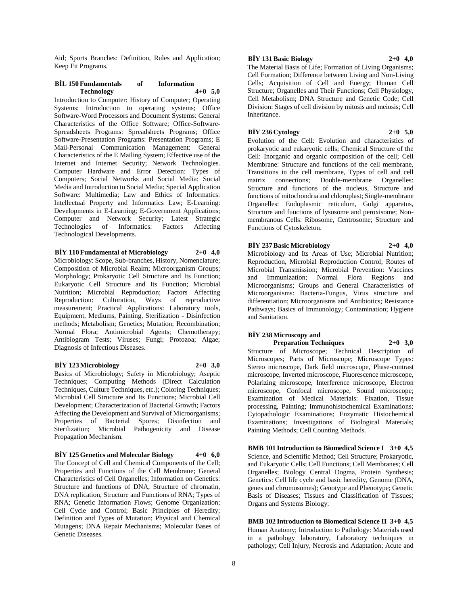Aid; Sports Branches: Definition, Rules and Application; Keep Fit Programs.

## **BİL 150 Fundamentals of Information Technology 4+0 5,0**

Introduction to Computer: History of Computer; Operating Systems: Introduction to operating systems; Office Software-Word Processors and Document Systems: General Characteristics of the Office Software; Office-Software-Spreadsheets Programs: Spreadsheets Programs; Office Software-Presentation Programs: Presentation Programs; E Mail-Personal Communication Management: General Characteristics of the E Mailing System; Effective use of the Internet and Internet Security; Network Technologies. Computer Hardware and Error Detection: Types of Computers; Social Networks and Social Media: Social Media and Introduction to Social Media; Special Application Software: Multimedia; Law and Ethics of Informatics: Intellectual Property and Informatics Law; E-Learning: Developments in E-Learning; E-Government Applications; Computer and Network Security; Latest Strategic of Informatics: Factors Technological Developments.

## **BİY 110 Fundamental of Microbiology 2+0 4,0**

Microbiology: Scope, Sub-branches, History, Nomenclature; Composition of Microbial Realm; Microorganism Groups; Morphology; Prokaryotic Cell Structure and Its Function; Eukaryotic Cell Structure and Its Function; Microbial Nutrition; Microbial Reproduction; Factors Affecting Reproduction: Culturation, Ways of reproductive measurement; Practical Applications: Laboratory tools, Equipment, Mediums, Painting, Sterilization - Disinfection methods; Metabolism; Genetics; Mutation; Recombination; Normal Flora; Antimicrobial Agents; Chemotherapy; Antibiogram Tests; Viruses; Fungi; Protozoa; Algae; Diagnosis of Infectious Diseases.

#### **BİY 123 Microbiology 2+0 3,0**

Basics of Microbiology; Safety in Microbiology; Aseptic Techniques; Computing Methods (Direct Calculation Techniques, Culture Techniques, etc.); Coloring Techniques; Microbial Cell Structure and Its Functions; Microbial Cell Development; Characterization of Bacterial Growth; Factors Affecting the Development and Survival of Microorganisms; Properties of Bacterial Spores; Disinfection and Sterilization; Microbial Pathogenicity and Disease Propagation Mechanism.

**BİY 125 Genetics and Molecular Biology 4+0 6,0** The Concept of Cell and Chemical Components of the Cell; Properties and Functions of the Cell Membrane; General Characteristics of Cell Organelles; Information on Genetics: Structure and functions of DNA, Structure of chromatin, DNA replication, Structure and Functions of RNA; Types of RNA; Genetic Information Flows; Genome Organization; Cell Cycle and Control; Basic Principles of Heredity; Definition and Types of Mutation; Physical and Chemical Mutagens; DNA Repair Mechanisms; Molecular Bases of Genetic Diseases.

#### **BİY 131 Basic Biology 2+0 4,0**

The Material Basis of Life; Formation of Living Organisms; Cell Formation; Difference between Living and Non-Living Cells; Acquisition of Cell and Energy; Human Cell Structure; Organelles and Their Functions; Cell Physiology, Cell Metabolism; DNA Structure and Genetic Code; Cell Division: Stages of cell division by mitosis and meiosis; Cell Inheritance.

## **BİY 236 Cytology 2+0 5,0**

Evolution of the Cell: Evolution and characteristics of prokaryotic and eukaryotic cells; Chemical Structure of the Cell: Inorganic and organic composition of the cell; Cell Membrane: Structure and functions of the cell membrane, Transitions in the cell membrane, Types of cell and cell matrix connections; Double-membrane Organelles: Structure and functions of the nucleus, Structure and functions of mitochondria and chloroplast; Single-membrane Organelles: Endoplasmic reticulum, Golgi apparatus, Structure and functions of lysosome and peroxisome; Nonmembranous Cells: Ribosome, Centrosome; Structure and Functions of Cytoskeleton.

#### **BİY 237 Basic Microbiology 2+0 4,0** Microbiology and Its Areas of Use; Microbial Nutrition; Reproduction, Microbial Reproduction Control; Routes of Microbial Transmission; Microbial Prevention: Vaccines and Immunization; Normal Flora Regions and Microorganisms; Groups and General Characteristics of Microorganisms: Bacteria-Fungus, Virus structure and

differentiation; Microorganisms and Antibiotics; Resistance Pathways; Basics of Immunology; Contamination; Hygiene and Sanitation.

## **BİY 238 Microscopy and Preparation Techniques 2+0 3,0**

Structure of Microscope; Technical Description of Microscopes; Parts of Microscope; Microscope Types: Stereo microscope, Dark field microscope, Phase-contrast microscope, Inverted microscope, Fluorescence microscope, Polarizing microscope, Interference microscope, Electron microscope, Confocal microscope, Sound microscope; Examination of Medical Materials: Fixation, Tissue processing, Painting; Immunohistochemical Examinations; Cytopathologic Examinations; Enzymatic Histochemical Examinations; Investigations of Biological Materials; Painting Methods; Cell Counting Methods.

**BMB 101 Introduction to Biomedical Science I 3+0 4,5** Science, and Scientific Method; Cell Structure; Prokaryotic, and Eukaryotic Cells; Cell Functions; Cell Membranes; Cell Organelles; Biology Central Dogma, Protein Synthesis; Genetics: Cell life cycle and basic heredity, Genome (DNA, genes and chromosomes); Genotype and Phenotype; Genetic Basis of Diseases; Tissues and Classification of Tissues; Organs and Systems Biology.

**BMB 102 Introduction to Biomedical Science II 3+0 4,5** Human Anatomy; Introduction to Pathology: Materials used in a pathology laboratory, Laboratory techniques in pathology; Cell Injury, Necrosis and Adaptation; Acute and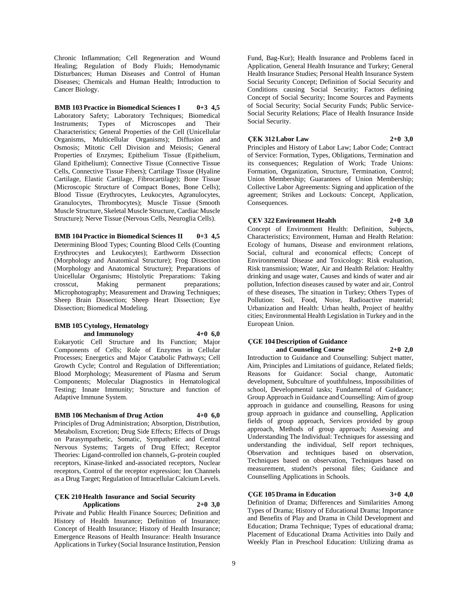Chronic Inflammation; Cell Regeneration and Wound Healing; Regulation of Body Fluids; Hemodynamic Disturbances; Human Diseases and Control of Human Diseases; Chemicals and Human Health; Introduction to Cancer Biology.

**BMB 103 Practice in Biomedical Sciences I 0+3 4,5** Laboratory Safety; Laboratory Techniques; Biomedical Instruments; Types of Microscopes and Their Characteristics; General Properties of the Cell (Unicellular Organisms, Multicellular Organisms); Diffusion and Osmosis; Mitotic Cell Division and Meiosis; General Properties of Enzymes; Epithelium Tissue (Epithelium, Gland Epithelium); Connective Tissue (Connective Tissue Cells, Connective Tissue Fibers); Cartilage Tissue (Hyaline Cartilage, Elastic Cartilage, Fibrocartilage); Bone Tissue (Microscopic Structure of Compact Bones, Bone Cells); Blood Tissue (Erythrocytes, Leukocytes, Agranulocytes, Granulocytes, Thrombocytes); Muscle Tissue (Smooth Muscle Structure, Skeletal Muscle Structure, Cardiac Muscle Structure); Nerve Tissue (Nervous Cells, Neuroglia Cells).

**BMB 104 Practice in Biomedical Sciences II 0+3 4,5** Determining Blood Types; Counting Blood Cells (Counting Erythrocytes and Leukocytes); Earthworm Dissection (Morphology and Anatomical Structure); Frog Dissection (Morphology and Anatomical Structure); Preparations of Unicellular Organisms; Histolytic Preparations: Taking crosscut, Making permanent preparations; Microphotography; Measurement and Drawing Techniques; Sheep Brain Dissection; Sheep Heart Dissection; Eye Dissection; Biomedical Modeling.

#### **BMB 105 Cytology, Hematology and Immunology 4+0 6,0**

Eukaryotic Cell Structure and Its Function; Major Components of Cells; Role of Enzymes in Cellular Processes; Energetics and Major Catabolic Pathways; Cell Growth Cycle; Control and Regulation of Differentiation; Blood Morphology; Measurement of Plasma and Serum Components; Molecular Diagnostics in Hematological Testing; Innate Immunity; Structure and function of Adaptive Immune System.

## **BMB 106 Mechanism of Drug Action 4+0 6,0**

Principles of Drug Administration; Absorption, Distribution, Metabolism, Excretion; Drug Side Effects; Effects of Drugs on Parasympathetic, Somatic, Sympathetic and Central Nervous Systems; Targets of Drug Effect; Receptor Theories: Ligand-controlled ion channels, G-protein coupled

receptors, Kinase-linked and-associated receptors, Nuclear receptors, Control of the receptor expression; Ion Channels as a Drug Target; Regulation of Intracellular Calcium Levels.

## **ÇEK 210 Health Insurance and Social Security Applications 2+0 3,0**

Private and Public Health Finance Sources; Definition and History of Health Insurance; Definition of Insurance; Concept of Health Insurance; History of Health Insurance; Emergence Reasons of Health Insurance: Health Insurance Applications in Turkey (Social Insurance Institution, Pension

Fund, Bag-Kur); Health Insurance and Problems faced in Application, General Health Insurance and Turkey; General Health Insurance Studies; Personal Health Insurance System Social Security Concept; Definition of Social Security and Conditions causing Social Security; Factors defining Concept of Social Security; Income Sources and Payments of Social Security; Social Security Funds; Public Service-Social Security Relations; Place of Health Insurance Inside Social Security.

## **ÇEK 312 Labor Law 2+0 3,0**

Principles and History of Labor Law; Labor Code; Contract of Service: Formation, Types, Obligations, Termination and its consequences; Regulation of Work; Trade Unions: Formation, Organization, Structure, Termination, Control; Union Membership; Guarantees of Union Membership; Collective Labor Agreements: Signing and application of the agreement; Strikes and Lockouts: Concept, Application, Consequences.

## **ÇEV 322 Environment Health 2+0 3,0**

Concept of Environment Health: Definition, Subjects, Characteristics; Environment, Human and Health Relation: Ecology of humans, Disease and environment relations, Social, cultural and economical effects; Concept of Environmental Disease and Toxicology: Risk evaluation, Risk transmission; Water, Air and Health Relation: Healthy drinking and usage water, Causes and kinds of water and air pollution, Infection diseases caused by water and air, Control of these diseases, The situation in Turkey; Others Types of Pollution: Soil, Food, Noise, Radioactive material; Urbanization and Health: Urban health, Project of healthy cities; Environmental Health Legislation in Turkey and in the European Union.

#### **ÇGE 104 Description of Guidance and Counseling Course 2+0 2,0**

Introduction to Guidance and Counselling: Subject matter, Aim, Principles and Limitations of guidance, Related fields; Reasons for Guidance: Social change, Automatic development, Subculture of youthfulness, Impossibilities of school, Developmental tasks; Fundamental of Guidance; Group Approach in Guidance and Counselling: Aim of group approach in guidance and counselling, Reasons for using group approach in guidance and counselling, Application fields of group approach, Services provided by group approach, Methods of group approach; Assessing and Understanding The Individual: Techniques for assessing and understanding the individual, Self report techniques, Observation and techniques based on observation, Techniques based on observation, Techniques based on measurement, student?s personal files; Guidance and Counselling Applications in Schools.

## **ÇGE 105 Drama in Education 3+0 4,0**

Definition of Drama; Differences and Similarities Among Types of Drama; History of Educational Drama; Importance and Benefits of Play and Drama in Child Development and Education; Drama Technique; Types of educational drama; Placement of Educational Drama Activities into Daily and Weekly Plan in Preschool Education: Utilizing drama as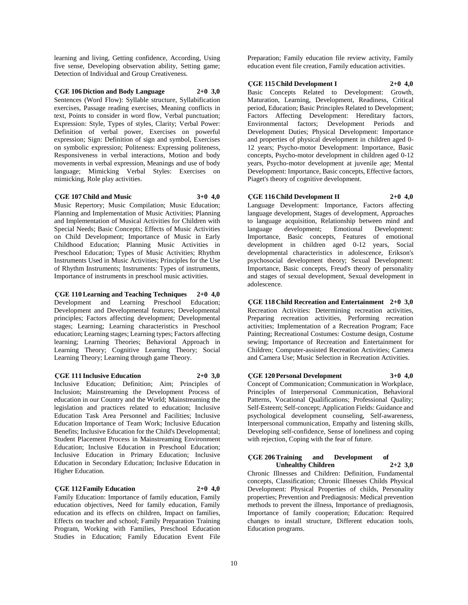learning and living, Getting confidence, According, Using five sense, Developing observation ability, Setting game; Detection of Individual and Group Creativeness.

**ÇGE 106 Diction and Body Language 2+0 3,0**

Sentences (Word Flow): Syllable structure, Syllabification exercises, Passage reading exercises, Meaning conflicts in text, Points to consider in word flow, Verbal punctuation; Expression: Style, Types of styles, Clarity; Verbal Power: Definition of verbal power, Exercises on powerful expression; Sign: Definition of sign and symbol, Exercises on symbolic expression; Politeness: Expressing politeness, Responsiveness in verbal interactions, Motion and body movements in verbal expression, Meanings and use of body language; Mimicking Verbal Styles: Exercises on mimicking, Role play activities.

#### **ÇGE 107 Child and Music 3+0 4,0**

Music Repertory; Music Compilation; Music Education; Planning and Implementation of Music Activities; Planning and Implementation of Musical Activities for Children with Special Needs; Basic Concepts; Effects of Music Activities on Child Development; Importance of Music in Early Childhood Education; Planning Music Activities in Preschool Education; Types of Music Activities; Rhythm Instruments Used in Music Activities; Principles for the Use of Rhythm Instruments; Instruments: Types of instruments, Importance of instruments in preschool music activities.

**ÇGE 110 Learning and Teaching Techniques 2+0 4,0** Development and Learning Preschool Education; Development and Developmental features; Developmental principles; Factors affecting development; Developmental stages; Learning; Learning characteristics in Preschool education; Learning stages; Learning types; Factors affecting learning; Learning Theories; Behavioral Approach in Learning Theory; Cognitive Learning Theory; Social Learning Theory; Learning through game Theory.

**ÇGE 111 Inclusive Education 2+0 3,0**

Inclusive Education; Definition; Aim; Principles of Inclusion; Mainstreaming the Development Process of education in our Country and the World; Mainstreaming the legislation and practices related to education; Inclusive Education Task Area Personnel and Facilities; Inclusive Education Importance of Team Work; Inclusive Education Benefits; Inclusive Education for the Child's Developmental; Student Placement Process in Mainstreaming Environment Education; Inclusive Education in Preschool Education; Inclusive Education in Primary Education; Inclusive Education in Secondary Education; Inclusive Education in Higher Education.

#### **ÇGE 112 Family Education 2+0 4,0**

Family Education: Importance of family education, Family education objectives, Need for family education, Family education and its effects on children, Impact on families, Effects on teacher and school; Family Preparation Training Program, Working with Families, Preschool Education Studies in Education; Family Education Event File

Preparation; Family education file review activity, Family education event file creation, Family education activities.

**ÇGE 115 Child Development I 2+0 4,0**

Basic Concepts Related to Development: Growth, Maturation, Learning, Development, Readiness, Critical period, Education; Basic Principles Related to Development; Factors Affecting Development: Hereditary factors, Environmental factors; Development Periods and Development Duties; Physical Development: Importance and properties of physical development in children aged 0- 12 years; Psycho-motor Development: Importance, Basic concepts, Psycho-motor development in children aged 0-12 years, Psycho-motor development at juvenile age; Mental Development: Importance, Basic concepts, Effective factors, Piaget's theory of cognitive development.

## **ÇGE 116 Child Development II 2+0 4,0**

Language Development: Importance, Factors affecting language development, Stages of development, Approaches to language acquisition, Relationship between mind and language development; Emotional Development: Importance, Basic concepts, Features of emotional development in children aged 0-12 years, Social developmental characteristics in adolescence, Erikson's psychosocial development theory; Sexual Development: Importance, Basic concepts, Freud's theory of personality and stages of sexual development, Sexual development in adolescence.

**ÇGE 118 Child Recreation and Entertainment 2+0 3,0** Recreation Activities: Determining recreation activities, Preparing recreation activities, Performing recreation activities; Implementation of a Recreation Program; Face Painting; Recreational Costumes: Costume design, Costume sewing; Importance of Recreation and Entertainment for Children; Computer-assisted Recreation Activities; Camera and Camera Use; Music Selection in Recreation Activities.

**ÇGE 120 Personal Development 3+0 4,0**

Concept of Communication; Communication in Workplace, Principles of Interpersonal Communication, Behavioral Patterns, Vocational Qualifications; Professional Quality; Self-Esteem; Self-concept; Application Fields: Guidance and psychological development counseling, Self-awareness, Interpersonal communication, Empathy and listening skills, Developing self-confidence, Sense of loneliness and coping with rejection, Coping with the fear of future.

# **ÇGE 206 Training and Development of Unhealthy Children 2+2 3,0**

Chronic Illnesses and Children: Definition, Fundamental concepts, Classification; Chronic Illnesses Childs Physical Development: Physical Properties of childs, Personality properties; Prevention and Prediagnosis: Medical prevention methods to prevent the illness, Importance of prediagnosis, Importance of family cooperation; Education: Required changes to install structure, Different education tools, Education programs.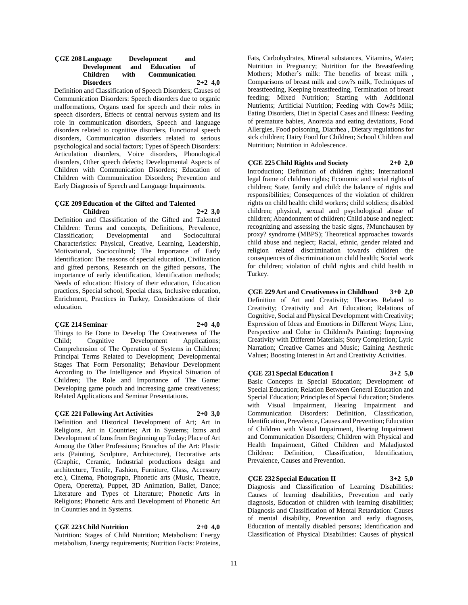#### **ÇGE 208 Language Development and Development and Education of Children with Communication Disorders 2+2 4,0**

Definition and Classification of Speech Disorders; Causes of Communication Disorders: Speech disorders due to organic malformations, Organs used for speech and their roles in speech disorders, Effects of central nervous system and its role in communication disorders, Speech and language disorders related to cognitive disorders, Functional speech disorders, Communication disorders related to serious psychological and social factors; Types of Speech Disorders: Articulation disorders, Voice disorders, Phonological disorders, Other speech defects; Developmental Aspects of Children with Communication Disorders; Education of Children with Communication Disorders; Prevention and Early Diagnosis of Speech and Language Impairments.

#### **ÇGE 209 Education of the Gifted and Talented Children 2+2 3,0**

Definition and Classification of the Gifted and Talented Children: Terms and concepts, Definitions, Prevalence, Classification; Developmental and Sociocultural Characteristics: Physical, Creative, Learning, Leadership, Motivational, Sociocultural; The Importance of Early Identification: The reasons of special education, Civilization and gifted persons, Research on the gifted persons, The importance of early identification, Identification methods; Needs of education: History of their education, Education practices, Special school, Special class, Inclusive education, Enrichment, Practices in Turkey, Considerations of their education.

#### **ÇGE 214 Seminar 2+0 4,0**

Things to Be Done to Develop The Creativeness of The Child; Cognitive Development Applications; Comprehension of The Operation of Systems in Children; Principal Terms Related to Development; Developmental Stages That Form Personality; Behaviour Development According to The Intelligence and Physical Situation of Children; The Role and Importance of The Game: Developing game pouch and increasing game creativeness; Related Applications and Seminar Presentations.

## **ÇGE 221 Following Art Activities 2+0 3,0**

Definition and Historical Development of Art; Art in Religions, Art in Countries; Art in Systems; Izms and Development of Izms from Beginning up Today; Place of Art Among the Other Professions; Branches of the Art: Plastic arts (Painting, Sculpture, Architecture), Decorative arts (Graphic, Ceramic, Industrial productions design and architecture, Textile, Fashion, Furniture, Glass, Accessory etc.), Cinema, Photograph, Phonetic arts (Music, Theatre, Opera, Operetta), Puppet, 3D Animation, Ballet, Dance; Literature and Types of Literature; Phonetic Arts in Religions; Phonetic Arts and Development of Phonetic Art in Countries and in Systems.

**ÇGE 223 Child Nutrition 2+0 4,0** Nutrition: Stages of Child Nutrition; Metabolism: Energy metabolism, Energy requirements; Nutrition Facts: Proteins,

Fats, Carbohydrates, Mineral substances, Vitamins, Water; Nutrition in Pregnancy; Nutrition for the Breastfeeding Mothers; Mother's milk: The benefits of breast milk , Comparisons of breast milk and cow?s milk, Techniques of breastfeeding, Keeping breastfeeding, Termination of breast feeding; Mixed Nutrition; Starting with Additional Nutrients; Artificial Nutrition; Feeding with Cow?s Milk; Eating Disorders, Diet in Special Cases and Illness: Feeding of premature babies, Anorexia and eating deviations, Food Allergies, Food poisoning, Diarrhea , Dietary regulations for sick children; Dairy Food for Children; School Children and Nutrition; Nutrition in Adolescence.

## **ÇGE 225 Child Rights and Society 2+0 2,0**

Introduction; Definition of children rights; International legal frame of children rights; Economic and social rights of children; State, family and child: the balance of rights and responsibilities; Consequences of the violation of children rights on child health: child workers; child soldiers; disabled children; physical, sexual and psychological abuse of children; Abandonment of children; Child abuse and neglect: recognizing and assessing the basic signs, ?Munchausen by proxy? syndrome (MBPS); Theoretical approaches towards child abuse and neglect; Racial, ethnic, gender related and religion related discrimination towards children the consequences of discrimination on child health; Social work for children; violation of child rights and child health in Turkey.

**ÇGE 229 Art and Creativeness in Childhood 3+0 2,0** Definition of Art and Creativity; Theories Related to Creativity; Creativity and Art Education; Relations of Cognitive, Social and Physical Development with Creativity; Expression of Ideas and Emotions in Different Ways; Line, Perspective and Color in Children?s Painting; Improving Creativity with Different Materials; Story Completion; Lyric Narration; Creative Games and Music; Gaining Aesthetic Values; Boosting Interest in Art and Creativity Activities.

# **ÇGE 231 Special Education I 3+2 5,0**

Basic Concepts in Special Education; Development of Special Education; Relation Between General Education and Special Education; Principles of Special Education; Students with Visual Impairment, Hearing Impairment and Communication Disorders: Definition, Classification, Identification, Prevalence, Causes and Prevention; Education of Children with Visual Impairment, Hearing Impairment and Communication Disorders; Children with Physical and Health Impairment, Gifted Children and Maladjusted Children: Definition, Classification, Identification, Prevalence, Causes and Prevention.

## **ÇGE 232 Special Education II 3+2 5,0**

Diagnosis and Classification of Learning Disabilities: Causes of learning disabilities, Prevention and early diagnosis, Education of children with learning disabilities; Diagnosis and Classification of Mental Retardation: Causes of mental disability, Prevention and early diagnosis, Education of mentally disabled persons; Identification and Classification of Physical Disabilities: Causes of physical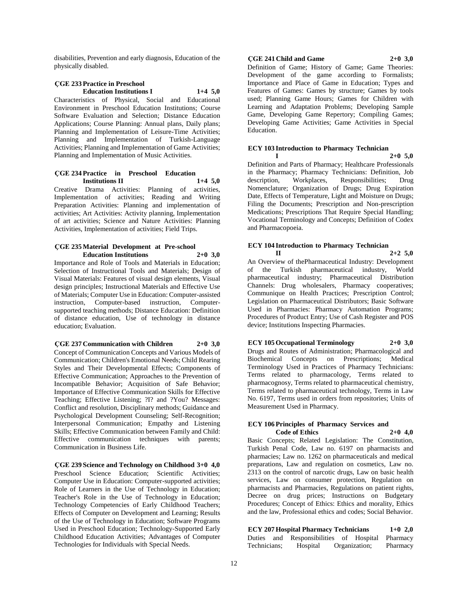disabilities, Prevention and early diagnosis, Education of the physically disabled.

## **ÇGE 233 Practice in Preschool Education Institutions I 1+4 5,0**

Characteristics of Physical, Social and Educational Environment in Preschool Education Institutions; Course Software Evaluation and Selection; Distance Education Applications; Course Planning: Annual plans, Daily plans; Planning and Implementation of Leisure-Time Activities; Planning and Implementation of Turkish-Language Activities; Planning and Implementation of Game Activities; Planning and Implementation of Music Activities.

## **ÇGE 234 Practice in Preschool Education Institutions II 1+4 5,0**

Creative Drama Activities: Planning of activities, Implementation of activities; Reading and Writing Preparation Activities: Planning and implementation of activities; Art Activities: Activity planning, Implementation of art activities; Science and Nature Activities: Planning Activities, Implementation of activities; Field Trips.

#### **ÇGE 235 Material Development at Pre-school Education Institutions 2+0 3,0**

Importance and Role of Tools and Materials in Education; Selection of Instructional Tools and Materials; Design of Visual Materials: Features of visual design elements, Visual design principles; Instructional Materials and Effective Use of Materials; Computer Use in Education: Computer-assisted instruction, Computer-based instruction, Computersupported teaching methods; Distance Education: Definition of distance education, Use of technology in distance education; Evaluation.

**ÇGE 237 Communication with Children 2+0 3,0** Concept of Communication Concepts and Various Models of Communication; Children's Emotional Needs; Child Rearing Styles and Their Developmental Effects; Components of Effective Communication; Approaches to the Prevention of Incompatible Behavior; Acquisition of Safe Behavior; Importance of Effective Communication Skills for Effective Teaching; Effective Listening; ?I? and ?You? Messages: Conflict and resolution, Disciplinary methods; Guidance and Psychological Development Counseling; Self-Recognition; Interpersonal Communication; Empathy and Listening Skills; Effective Communication between Family and Child: Effective communication techniques with parents; Communication in Business Life.

**ÇGE 239 Science and Technology on Childhood 3+0 4,0** Preschool Science Education; Scientific Activities; Computer Use in Education: Computer-supported activities; Role of Learners in the Use of Technology in Education; Teacher's Role in the Use of Technology in Education; Technology Competencies of Early Childhood Teachers; Effects of Computer on Development and Learning; Results of the Use of Technology in Education; Software Programs Used in Preschool Education; Technology-Supported Early Childhood Education Activities; Advantages of Computer Technologies for Individuals with Special Needs.

## **ÇGE 241 Child and Game 2+0 3,0**

Definition of Game; History of Game; Game Theories: Development of the game according to Formalists; Importance and Place of Game in Education; Types and Features of Games: Games by structure; Games by tools used; Planning Game Hours; Games for Children with Learning and Adaptation Problems; Developing Sample Game, Developing Game Repertory; Compiling Games; Developing Game Activities; Game Activities in Special Education.

### **ECY 103 Introduction to Pharmacy Technician**

**I 2+0 5,0**

Definition and Parts of Pharmacy; Healthcare Professionals in the Pharmacy; Pharmacy Technicians: Definition, Job description, Workplaces, Responsibilities; Drug Nomenclature; Organization of Drugs; Drug Expiration Date, Effects of Temperature, Light and Moisture on Drugs; Filing the Documents; Prescription and Non-prescription Medications; Prescriptions That Require Special Handling; Vocational Terminology and Concepts; Definition of Codex and Pharmacopoeia.

#### **ECY 104 Introduction to Pharmacy Technician II 2+2 5,0**

An Overview of thePharmaceutical Industry: Development of the Turkish pharmaceutical industry, World pharmaceutical industry; Pharmaceutical Distribution Channels: Drug wholesalers, Pharmacy cooperatives; Communique on Health Practices; Prescription Control; Legislation on Pharmaceutical Distributors; Basic Software Used in Pharmacies: Pharmacy Automation Programs; Procedures of Product Entry; Use of Cash Register and POS device; Institutions Inspecting Pharmacies.

## **ECY 105 Occupational Terminology 2+0 3,0**

Drugs and Routes of Administration; Pharmacological and Biochemical Concepts on Prescriptions; Medical Terminology Used in Practices of Pharmacy Technicians: Terms related to pharmacology, Terms related to pharmacognosy, Terms related to pharmaceutical chemistry, Terms related to pharmaceutical technology, Terms in Law No. 6197, Terms used in orders from repositories; Units of Measurement Used in Pharmacy.

#### **ECY 106 Principles of Pharmacy Services and Code of Ethics 2+0 4,0**

Basic Concepts; Related Legislation: The Constitution, Turkish Penal Code, Law no. 6197 on pharmacists and pharmacies; Law no. 1262 on pharmaceuticals and medical preparations, Law and regulation on cosmetics, Law no. 2313 on the control of narcotic drugs, Law on basic health services, Law on consumer protection, Regulation on pharmacists and Pharmacies, Regulations on patient rights, Decree on drug prices; Instructions on Budgetary Procedures; Concept of Ethics: Ethics and morality, Ethics and the law, Professional ethics and codes; Social Behavior.

**ECY 207 Hospital Pharmacy Technicians 1+0 2,0** Duties and Responsibilities of Hospital Pharmacy Organization;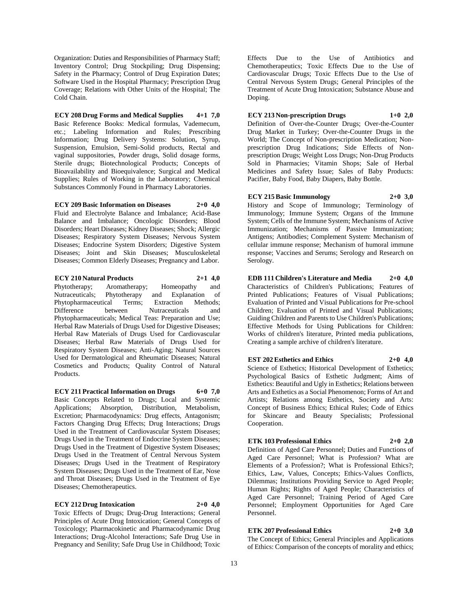Organization: Duties and Responsibilities of Pharmacy Staff; Inventory Control; Drug Stockpiling; Drug Dispensing; Safety in the Pharmacy; Control of Drug Expiration Dates; Software Used in the Hospital Pharmacy; Prescription Drug Coverage; Relations with Other Units of the Hospital; The Cold Chain.

**ECY 208 Drug Forms and Medical Supplies 4+1 7,0**

Basic Reference Books: Medical formulas, Vademecum, etc.; Labeling Information and Rules; Prescribing Information; Drug Delivery Systems: Solution, Syrup, Suspension, Emulsion, Semi-Solid products, Rectal and vaginal suppositories, Powder drugs, Solid dosage forms, Sterile drugs; Biotechnological Products; Concepts of Bioavailability and Bioequivalence; Surgical and Medical Supplies; Rules of Working in the Laboratory; Chemical Substances Commonly Found in Pharmacy Laboratories.

**ECY 209 Basic Information on Diseases 2+0 4,0**

Fluid and Electrolyte Balance and Imbalance; Acid-Base Balance and Imbalance; Oncologic Disorders; Blood Disorders; Heart Diseases; Kidney Diseases; Shock; Allergic Diseases; Respiratory System Diseases; Nervous System Diseases; Endocrine System Disorders; Digestive System Diseases; Joint and Skin Diseases; Musculoskeletal Diseases; Common Elderly Diseases; Pregnancy and Labor.

**ECY 210 Natural Products 2+1 4,0** Phytotherapy; Aromatherapy; Homeopathy and Nutraceuticals; Phytotherapy and Explanation of Phytopharmaceutical Terms; Extraction Methods; Difference between Nutraceuticals and Phytopharmaceuticals; Medical Teas: Preparation and Use; Herbal Raw Materials of Drugs Used for Digestive Diseases; Herbal Raw Materials of Drugs Used for Cardiovascular Diseases; Herbal Raw Materials of Drugs Used for Respiratory System Diseases; Anti-Aging; Natural Sources Used for Dermatological and Rheumatic Diseases; Natural Cosmetics and Products; Quality Control of Natural Products.

**ECY 211 Practical Information on Drugs 6+0 7,0** Basic Concepts Related to Drugs; Local and Systemic Applications; Absorption, Distribution, Metabolism, Excretion; Pharmacodynamics: Drug effects, Antagonism; Factors Changing Drug Effects; Drug Interactions; Drugs Used in the Treatment of Cardiovascular System Diseases; Drugs Used in the Treatment of Endocrine System Diseases; Drugs Used in the Treatment of Digestive System Diseases; Drugs Used in the Treatment of Central Nervous System Diseases; Drugs Used in the Treatment of Respiratory System Diseases; Drugs Used in the Treatment of Ear, Nose and Throat Diseases; Drugs Used in the Treatment of Eye Diseases; Chemotherapeutics.

### **ECY 212 Drug Intoxication 2+0 4,0**

Toxic Effects of Drugs; Drug-Drug Interactions; General Principles of Acute Drug Intoxication; General Concepts of Toxicology; Pharmacokinetic and Pharmacodynamic Drug Interactions; Drug-Alcohol Interactions; Safe Drug Use in Pregnancy and Senility; Safe Drug Use in Childhood; Toxic

Effects Due to the Use of Antibiotics and Chemotherapeutics; Toxic Effects Due to the Use of Cardiovascular Drugs; Toxic Effects Due to the Use of Central Nervous System Drugs; General Principles of the Treatment of Acute Drug Intoxication; Substance Abuse and Doping.

## **ECY 213 Non-prescription Drugs 1+0 2,0**

Definition of Over-the-Counter Drugs; Over-the-Counter Drug Market in Turkey; Over-the-Counter Drugs in the World; The Concept of Non-prescription Medication; Nonprescription Drug Indications; Side Effects of Nonprescription Drugs; Weight Loss Drugs; Non-Drug Products Sold in Pharmacies; Vitamin Shops; Sale of Herbal Medicines and Safety Issue; Sales of Baby Products: Pacifier, Baby Food, Baby Diapers, Baby Bottle.

## **ECY 215 Basic Immunology 2+0 3,0**

History and Scope of Immunology; Terminology of Immunology; Immune System; Organs of the Immune System; Cells of the Immune System; Mechanisms of Active Immunization; Mechanisms of Passive Immunization; Antigens; Antibodies; Complement System: Mechanism of cellular immune response; Mechanism of humoral immune response; Vaccines and Serums; Serology and Research on Serology.

**EDB 111 Children's Literature and Media 2+0 4,0** Characteristics of Children's Publications; Features of Printed Publications; Features of Visual Publications; Evaluation of Printed and Visual Publications for Pre-school Children; Evaluation of Printed and Visual Publications; Guiding Children and Parents to Use Children's Publications; Effective Methods for Using Publications for Children: Works of children's literature, Printed media publications, Creating a sample archive of children's literature.

## **EST 202 Esthetics and Ethics 2+0 4,0**

Science of Esthetics; Historical Development of Esthetics; Psychological Basics of Esthetic Judgment; Aims of Esthetics: Beautiful and Ugly in Esthetics; Relations between Arts and Esthetics as a Social Phenomenon; Forms of Art and Artists; Relations among Esthetics, Society and Arts: Concept of Business Ethics; Ethical Rules; Code of Ethics for Skincare and Beauty Specialists; Professional Cooperation.

#### **ETK 103 Professional Ethics 2+0 2,0**

Definition of Aged Care Personnel; Duties and Functions of Aged Care Personnel; What is Profession? What are Elements of a Profession?; What is Professional Ethics?; Ethics, Law, Values, Concepts; Ethics-Values Conflicts, Dilemmas; Institutions Providing Service to Aged People; Human Rights; Rights of Aged People; Characteristics of Aged Care Personnel; Training Period of Aged Care Personnel; Employment Opportunities for Aged Care Personnel.

## **ETK 207 Professional Ethics 2+0 3,0**

The Concept of Ethics; General Principles and Applications of Ethics: Comparison of the concepts of morality and ethics;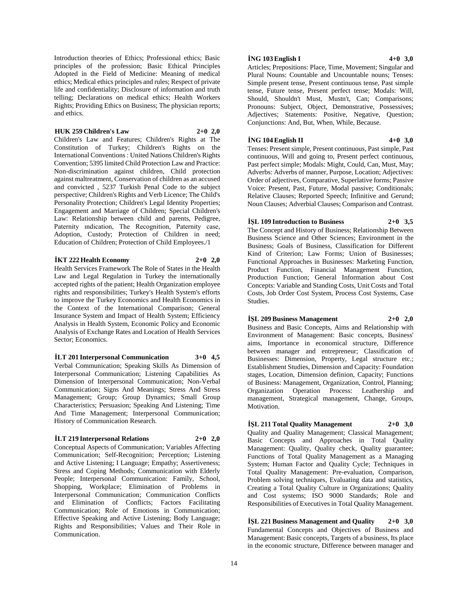Introduction theories of Ethics; Professional ethics; Basic principles of the profession; Basic Ethical Principles Adopted in the Field of Medicine: Meaning of medical ethics; Medical ethics principles and rules; Respect of private life and confidentiality; Disclosure of information and truth telling; Declarations on medical ethics; Health Workers Rights; Providing Ethics on Business; The physician reports; and ethics.

#### **HUK 259 Children's Law 2+0 2,0**

Children's Law and Features; Children's Rights at The Constitution of Turkey; Children's Rights on the International Conventions : United Nations Children's Rights Convention; 5395 limited Child Protection Law and Practice: Non-discrimination against children, Child protection against maltreatment, Conservation of children as an accused and convicted , 5237 Turkish Penal Code to the subject perspective; Children's Rights and Verb Licence; The Child's Personality Protection; Children's Legal Identity Properties; Engagement and Marriage of Children; Special Children's Law: Relationship between child and parents, Pedigree, Paternity ındication, The Recognition, Paternity case, Adoption, Custody; Protection of Children in need; Education of Children; Protection of Child Employees./1

#### **İKT 222 Health Economy 2+0 2,0**

Health Services Framework The Role of States in the Health Law and Legal Regulation in Turkey the internationally accepted rights of the patient; Health Organization employee rights and responsibilities; Turkey's Health System's efforts to improve the Turkey Economics and Health Economics in the Context of the International Comparison; General Insurance System and Impact of Health System; Efficiency Analysis in Health System, Economic Policy and Economic Analysis of Exchange Rates and Location of Health Services Sector; Economics.

**İLT 201 Interpersonal Communication 3+0 4,5** Verbal Communication; Speaking Skills As Dimension of Interpersonal Communication; Listening Capabilities As Dimension of Interpersonal Communication; Non-Verbal Communication; Signs And Meanings; Stress And Stress Management; Group; Group Dynamics; Small Group Characteristics; Persuasion; Speaking And Listening; Time And Time Management; Interpersonal Communication; History of Communication Research.

#### **İLT 219 Interpersonal Relations 2+0 2,0**

Motivation.

Conceptual Aspects of Communication; Variables Affecting Communication; Self-Recognition; Perception; Listening and Active Listening; I Language; Empathy; Assertiveness; Stress and Coping Methods; Communication with Elderly People; Interpersonal Communication: Family, School, Shopping, Workplace; Elimination of Problems in Interpersonal Communication; Communication Conflicts and Elimination of Conflicts; Factors Facilitating Communication; Role of Emotions in Communication; Effective Speaking and Active Listening; Body Language; Rights and Responsibilities; Values and Their Role in Communication.

#### **İNG 103 English I 4+0 3,0**

Articles; Prepositions: Place, Time, Movement; Singular and Plural Nouns: Countable and Uncountable nouns; Tenses: Simple present tense, Present continuous tense, Past simple tense, Future tense, Present perfect tense; Modals: Will, Should, Shouldn't Must, Mustn't, Can; Comparisons; Pronouns: Subject, Object, Demonstrative, Possessives; Adjectives; Statements: Positive, Negative, Question; Conjunctions: And, But, When, While, Because.

### **İNG 104 English II 4+0 3,0**

Tenses: Present simple, Present continuous, Past simple, Past continuous, Will and going to, Present perfect continuous, Past perfect simple; Modals: Might, Could, Can, Must, May; Adverbs: Adverbs of manner, Purpose, Location; Adjectives: Order of adjectives, Comparative, Superlative forms; Passive Voice: Present, Past, Future, Modal passive; Conditionals; Relative Clauses; Reported Speech; Infinitive and Gerund; Noun Clauses; Adverbial Clauses; Comparison and Contrast.

**İŞL 109 Introduction to Business 2+0 3,5** The Concept and History of Business; Relationship Between Business Science and Other Sciences; Environment in the Business; Goals of Business, Classification for Different Kind of Criterion; Law Forms; Union of Businesses; Functional Approaches in Businesses: Marketing Function, Product Function, Financial Management Function,

Production Function; General Information about Cost Concepts: Variable and Standing Costs, Unit Costs and Total Costs, Job Order Cost System, Process Cost Systems, Case Studies.

**İŞL 209 Business Management 2+0 2,0** Business and Basic Concepts, Aims and Relationship with Environment of Management: Basic concepts, Business' aims, Importance in economical structure, Difference between manager and entrepreneur; Classification of Businesses: Dimension, Property, Legal structure etc.; Establishment Studies, Dimension and Capacity: Foundation stages, Location, Dimension definion, Capacity; Functions of Business: Management, Organization, Control, Planning; Organization Operation Process: Leathership and management, Strategical management, Change, Groups,

**İŞL 211 Total Quality Management 2+0 3,0**

Quality and Quality Management; Classical Management; Basic Concepts and Approaches in Total Quality Management: Quality, Quality check, Quality guarantee; Functions of Total Quality Management as a Managing System; Human Factor and Quality Cycle; Techniques in Total Quality Management: Pre-evaluation, Comparison, Problem solving techniques, Evaluating data and statistics, Creating a Total Quality Culture in Organizations; Quality and Cost systems; ISO 9000 Standards; Role and Responsibilities of Executives in Total Quality Management.

**İŞL 221 Business Management and Quality 2+0 3,0** Fundamental Concepts and Objectives of Business and Management: Basic concepts, Targets of a business, Its place in the economic structure, Difference between manager and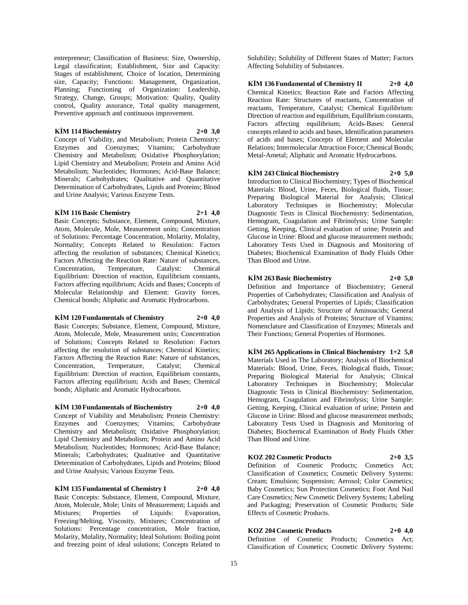entrepreneur; Classification of Business: Size, Ownership, Legal classification; Establishment, Size and Capacity: Stages of establishment, Choice of location, Determining size, Capacity; Functions: Management, Organization, Planning; Functioning of Organization: Leadership, Strategy, Change, Groups; Motivation: Quality, Quality control, Quality assurance, Total quality management, Preventive approach and continuous improvement.

#### **KİM 114 Biochemistry 2+0 3,0**

Concept of Viability, and Metabolism; Protein Chemistry: Enzymes and Coenzymes; Vitamins; Carbohydrate Chemistry and Metabolism; Oxidative Phosphorylation; Lipid Chemistry and Metabolism; Protein and Amino Acid Metabolism; Nucleotides; Hormones; Acid-Base Balance; Minerals; Carbohydrates; Qualitative and Quantitative Determination of Carbohydrates, Lipids and Proteins; Blood and Urine Analysis; Various Enzyme Tests.

#### **KİM 116 Basic Chemistry 2+1 4,0**

Basic Concepts; Substance, Element, Compound, Mixture, Atom, Molecule, Mole, Measurement units; Concentration of Solutions: Percentage Concentration, Molarity, Molality, Normality; Concepts Related to Resolution: Factors affecting the resolution of substances; Chemical Kinetics; Factors Affecting the Reaction Rate: Nature of substances, Concentration, Temperature, Catalyst: Chemical Equilibrium: Direction of reaction, Equilibrium constants, Factors affecting equilibrium; Acids and Bases; Concepts of Molecular Relationship and Element: Gravity forces, Chemical bonds; Aliphatic and Aromatic Hydrocarbons.

#### **KİM 120 Fundamentals of Chemistry 2+0 4,0**

Basic Concepts; Substance, Element, Compound, Mixture, Atom, Molecule, Mole, Measurement units; Concentration of Solutions; Concepts Related to Resolution: Factors affecting the resolution of substances; Chemical Kinetics; Factors Affecting the Reaction Rate: Nature of substances, Concentration, Temperature, Catalyst; Chemical Equilibrium: Direction of reaction, Equilibrium constants, Factors affecting equilibrium; Acids and Bases; Chemical bonds; Aliphatic and Aromatic Hydrocarbons.

## **KİM 130 Fundamentals of Biochemistry 2+0 4,0**

Concept of Viability and Metabolism; Protein Chemistry: Enzymes and Coenzymes; Vitamins; Carbohydrate Chemistry and Metabolism; Oxidative Phosphorylation; Lipid Chemistry and Metabolism; Protein and Amino Acid Metabolism; Nucleotides; Hormones; Acid-Base Balance; Minerals; Carbohydrates; Qualitative and Quantitative Determination of Carbohydrates, Lipids and Proteins; Blood and Urine Analysis; Various Enzyme Tests.

**KİM 135 Fundamental of Chemistry I 2+0 4,0** Basic Concepts: Substance, Element, Compound, Mixture, Atom, Molecule, Mole; Units of Measurement; Liquids and Mixtures; Properties of Liquids: Evaporation, Freezing/Melting, Viscosity, Mixtures; Concentration of Solutions: Percentage concentration, Mole fraction, Molarity, Molality, Normality; Ideal Solutions: Boiling point and freezing point of ideal solutions; Concepts Related to

Solubility; Solubility of Different States of Matter; Factors Affecting Solubility of Substances.

**KİM 136 Fundamental of Chemistry II 2+0 4,0** Chemical Kinetics; Reaction Rate and Factors Affecting Reaction Rate: Structures of reactants, Concentration of reactants, Temperature, Catalyst; Chemical Equilibrium: Direction of reaction and equilibrium, Equilibrium constants, Factors affecting equilibrium; Acids-Bases: General concepts related to acids and bases, Identification parameters of acids and bases; Concepts of Element and Molecular Relations; Intermolecular Attraction Force; Chemical Bonds; Metal-Ametal; Aliphatic and Aromatic Hydrocarbons.

### **KİM 243 Clinical Biochemistry 2+0 5,0**

Introduction to Clinical Biochemistry; Types of Biochemical Materials: Blood, Urine, Feces, Biological fluids, Tissue; Preparing Biological Material for Analysis; Clinical Laboratory Techniques in Biochemistry; Molecular Diagnostic Tests in Clinical Biochemistry: Sedimentation, Hemogram, Coagulation and Fibrinolysis; Urine Sample: Getting, Keeping, Clinical evaluation of urine; Protein and Glucose in Urine: Blood and glucose measurement methods; Laboratory Tests Used in Diagnosis and Monitoring of Diabetes; Biochemical Examination of Body Fluids Other Than Blood and Urine.

### **KİM 263 Basic Biochemistry 2+0 5,0**

Definition and Importance of Biochemistry; General Properties of Carbohydrates; Classification and Analysis of Carbohydrates; General Properties of Lipids; Classification and Analysis of Lipids; Structure of Aminoacids; General Properties and Analysis of Proteins; Structure of Vitamins; Nomenclature and Classification of Enzymes; Minerals and

**KİM 265 Applications in Clinical Biochemistry 1+2 5,0** Materials Used in The Laboratory; Analysis of Biochemical Materials: Blood, Urine, Feces, Biological fluids, Tissue; Preparing Biological Material for Analysis; Clinical Laboratory Techniques in Biochemistry; Molecular Diagnostic Tests in Clinical Biochemistry: Sedimentation, Hemogram, Coagulation and Fibrinolysis; Urine Sample: Getting, Keeping, Clinical evaluation of urine; Protein and Glucose in Urine: Blood and glucose measurement methods; Laboratory Tests Used in Diagnosis and Monitoring of Diabetes; Biochemical Examination of Body Fluids Other Than Blood and Urine.

Their Functions; General Properties of Hormones.

## **KOZ 202 Cosmetic Products 2+0 3,5**

Definition of Cosmetic Products; Cosmetics Act; Classification of Cosmetics; Cosmetic Delivery Systems: Cream; Emulsion; Suspension; Aerosol; Color Cosmetics; Baby Cosmetics; Sun Protection Cosmetics; Foot And Nail Care Cosmetics; New Cosmetic Delivery Systems; Labeling and Packaging; Preservation of Cosmetic Products; Side Effects of Cosmetic Products.

# **KOZ 204 Cosmetic Products 2+0 4,0**

Definition of Cosmetic Products; Cosmetics Act; Classification of Cosmetics; Cosmetic Delivery Systems: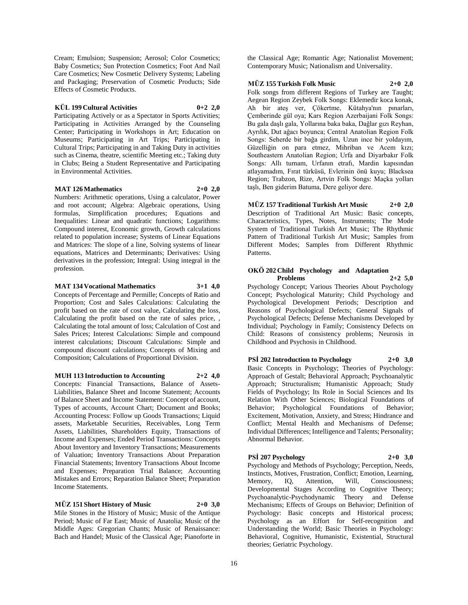Cream; Emulsion; Suspension; Aerosol; Color Cosmetics; Baby Cosmetics; Sun Protection Cosmetics; Foot And Nail Care Cosmetics; New Cosmetic Delivery Systems; Labeling and Packaging; Preservation of Cosmetic Products; Side Effects of Cosmetic Products.

#### **KÜL 199 Cultural Activities 0+2 2,0**

Participating Actively or as a Spectator in Sports Activities; Participating in Activities Arranged by the Counseling Center; Participating in Workshops in Art; Education on Museums; Participating in Art Trips; Participating in Cultural Trips; Participating in and Taking Duty in activities such as Cinema, theatre, scientific Meeting etc.; Taking duty in Clubs; Being a Student Representative and Participating in Environmental Activities.

#### **MAT 126 Mathematics 2+0 2,0**

Numbers: Arithmetic operations, Using a calculator, Power and root account; Algebra: Algebraic operations, Using formulas, Simplification procedures; Equations and Inequalities: Linear and quadratic functions; Logarithms: Compound interest, Economic growth, Growth calculations related to population increase; Systems of Linear Equations and Matrices: The slope of a line, Solving systems of linear equations, Matrices and Determinants; Derivatives: Using derivatives in the profession; Integral: Using integral in the profession.

#### **MAT 134 Vocational Mathematics 3+1 4,0**

Concepts of Percentage and Permille; Concepts of Ratio and Proportion; Cost and Sales Calculations: Calculating the profit based on the rate of cost value, Calculating the loss, Calculating the profit based on the rate of sales price, , Calculating the total amount of loss; Calculation of Cost and Sales Prices; Interest Calculations: Simple and compound interest calculations; Discount Calculations: Simple and compound discount calculations; Concepts of Mixing and Composition; Calculations of Proportional Division.

## **MUH 113 Introduction to Accounting 2+2 4,0**

Concepts: Financial Transactions, Balance of Assets-Liabilities, Balance Sheet and Income Statement; Accounts of Balance Sheet and Income Statement: Concept of account, Types of accounts, Account Chart; Document and Books; Accounting Process: Follow up Goods Transactions; Liquid assets, Marketable Securities, Receivables, Long Term Assets, Liabilities, Shareholders Equity, Transactions of Income and Expenses; Ended Period Transactions: Concepts About Inventory and Inventory Transactions; Measurements of Valuation; Inventory Transactions About Preparation Financial Statements; Inventory Transactions About Income and Expenses; Preparation Trial Balance; Accounting Mistakes and Errors; Reparation Balance Sheet; Preparation Income Statements.

## **MÜZ 151 Short History of Music 2+0 3,0**

Mile Stones in the History of Music; Music of the Antique Period; Music of Far East; Music of Anatolia; Music of the Middle Ages: Gregorian Chants; Music of Renaissance: Bach and Handel; Music of the Classical Age; Pianoforte in the Classical Age; Romantic Age; Nationalist Movement; Contemporary Music; Nationalism and Universality.

## **MÜZ 155 Turkish Folk Music 2+0 2,0**

Folk songs from different Regions of Turkey are Taught; Aegean Region Zeybek Folk Songs: Eklemedir koca konak, Ah bir ateş ver, Çökertme, Kütahya'nın pınarları, Çemberinde gül oya; Kars Region Azerbaijani Folk Songs: Bu gala daşlı gala, Yollarına baka baka, Dağlar gızı Reyhan, Ayrılık, Dut ağacı boyunca; Central Anatolian Region Folk Songs: Seherde bir bağa girdim, Uzun ince bir yoldayım, Güzelliğin on para etmez, Mihriban ve Acem kızı; Southeastern Anatolian Region; Urfa and Diyarbakır Folk Songs: Allı turnam, Urfanın etrafı, Mardin kapısından atlayamadım, Fırat türküsü, Evlerinin önü kuyu; Blacksea Region; Trabzon, Rize, Artvin Folk Songs: Maçka yolları taşlı, Ben giderim Batuma, Dere geliyor dere.

**MÜZ 157 Traditional Turkish Art Music 2+0 2,0** Description of Traditional Art Music: Basic concepts, Characteristics, Types, Notes, Instruments; The Mode System of Traditional Turkish Art Music; The Rhythmic Pattern of Traditional Turkish Art Music; Samples from Different Modes; Samples from Different Rhythmic Patterns.

### **OKÖ 202 Child Psychology and Adaptation Problems 2+2 5,0**

Psychology Concept; Various Theories About Psychology Concept; Psychological Maturity; Child Psychology and Psychological Development Periods; Description and Reasons of Psychological Defects; General Signals of Psychological Defects; Defense Mechanisms Developed by Individual; Psychology in Family; Consistency Defects on Child: Reasons of consistency problems; Neurosis in Childhood and Psychosis in Childhood.

## **PSİ 202 Introduction to Psychology 2+0 3,0**

Basic Concepts in Psychology; Theories of Psychology: Approach of Gestalt; Behavioral Approach; Psychoanalytic Approach; Structuralism; Humanistic Approach; Study Fields of Psychology; Its Role in Social Sciences and Its Relation With Other Sciences; Biological Foundations of Behavior; Psychological Foundations of Behavior; Excitement, Motivation, Anxiety, and Stress; Hindrance and Conflict; Mental Health and Mechanisms of Defense; Individual Differences; Intelligence and Talents; Personality; Abnormal Behavior.

## **PSİ 207 Psychology 2+0 3,0**

Psychology and Methods of Psychology; Perception, Needs, Instincts, Motives, Frustration, Conflict; Emotion, Learning, Memory, IQ, Attention, Will, Consciousness; Developmental Stages According to Cognitive Theory; Psychoanalytic-Psychodynamic Theory and Defense Mechanisms; Effects of Groups on Behavior; Definition of Psychology: Basic concepts and Historical process; Psychology as an Effort for Self-recognition and Understanding the World; Basic Theories in Psychology: Behavioral, Cognitive, Humanistic, Existential, Structural theories; Geriatric Psychology.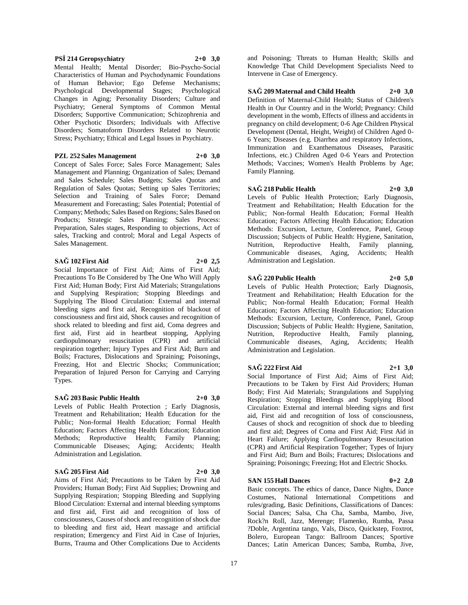Aims of First Aid; Precautions to be Taken by First Aid Burns, Trauma and Other Complications Due to Accidents

17

#### **PSİ 214 Geropsychiatry 2+0 3,0**

Mental Health; Mental Disorder; Bio-Psycho-Social Characteristics of Human and Psychodynamic Foundations of Human Behavior; Ego Defense Mechanisms; Psychological Developmental Stages; Psychological Changes in Aging; Personality Disorders; Culture and Psychiatry; General Symptoms of Common Mental Disorders; Supportive Communication; Schizophrenia and Other Psychotic Disorders; Individuals with Affective Disorders; Somatoform Disorders Related to Neurotic Stress; Psychiatry; Ethical and Legal Issues in Psychiatry.

#### **PZL 252 Sales Management 2+0 3,0**

Concept of Sales Force; Sales Force Management; Sales Management and Planning; Organization of Sales; Demand and Sales Schedule; Sales Budgets; Sales Quotas and Regulation of Sales Quotas; Setting up Sales Territories; Selection and Training of Sales Force; Demand Measurement and Forecasting; Sales Potential; Potential of Company; Methods; Sales Based on Regions; Sales Based on Products; Strategic Sales Planning; Sales Process: Preparation, Sales stages, Responding to objections, Act of sales, Tracking and control; Moral and Legal Aspects of Sales Management.

#### **SAĞ 102 First Aid 2+0 2,5**

Social Importance of First Aid; Aims of First Aid; Precautions To Be Considered by The One Who Will Apply First Aid; Human Body; First Aid Materials; Strangulations and Supplying Respiration; Stopping Bleedings and Supplying The Blood Circulation: External and internal bleeding signs and first aid, Recognition of blackout of consciousness and first aid, Shock causes and recognition of shock related to bleeding and first aid, Coma degrees and first aid, First aid in heartbeat stopping, Applying cardiopulmonary resuscitation (CPR) and artificial respiration together; Injury Types and First Aid; Burn and Boils; Fractures, Dislocations and Spraining; Poisonings, Freezing, Hot and Electric Shocks; Communication; Preparation of Injured Person for Carrying and Carrying Types.

#### **SAĞ 203 Basic Public Health 2+0 3,0**

Levels of Public Health Protection ; Early Diagnosis, Treatment and Rehabilitation; Health Education for the Public; Non-formal Health Education; Formal Health Education; Factors Affecting Health Education; Education Methods; Reproductive Health; Family Planning; Communicable Diseases; Aging; Accidents; Health Administration and Legislation.

## **SAĞ 205 First Aid 2+0 3,0**

Providers; Human Body; First Aid Supplies; Drowning and Supplying Respiration; Stopping Bleeding and Supplying Blood Circulation: External and internal bleeding symptoms and first aid, First aid and recognition of loss of consciousness, Causes of shock and recognition of shock due to bleeding and first aid, Heart massage and artificial respiration; Emergency and First Aid in Case of Injuries,

and Poisoning; Threats to Human Health; Skills and Knowledge That Child Development Specialists Need to Intervene in Case of Emergency.

#### **SAĞ 209 Maternal and Child Health 2+0 3,0**

Definition of Maternal-Child Health; Status of Children's Health in Our Country and in the World; Pregnancy: Child development in the womb, Effects of illness and accidents in pregnancy on child development; 0-6 Age Children Physical Development (Dental, Height, Weight) of Children Aged 0- 6 Years; Diseases (e.g. Diarrhea and respiratory Infections, Immunization and Exanthematous Diseases, Parasitic Infections, etc.) Children Aged 0-6 Years and Protection Methods; Vaccines; Women's Health Problems by Age; Family Planning.

## **SAĞ 218 Public Health 2+0 3,0**

Levels of Public Health Protection; Early Diagnosis, Treatment and Rehabilitation; Health Education for the Public; Non-formal Health Education; Formal Health Education; Factors Affecting Health Education; Education Methods: Excursion, Lecture, Conference, Panel, Group Discussion; Subjects of Public Health: Hygiene, Sanitation, Nutrition, Reproductive Health, Family planning, Communicable diseases, Aging, Accidents; Health Administration and Legislation.

#### **SAĞ 220 Public Health 2+0 5,0**

Levels of Public Health Protection; Early Diagnosis, Treatment and Rehabilitation; Health Education for the Public; Non-formal Health Education; Formal Health Education; Factors Affecting Health Education; Education Methods: Excursion, Lecture, Conference, Panel, Group Discussion; Subjects of Public Health: Hygiene, Sanitation, Nutrition, Reproductive Health, Family planning, Communicable diseases, Aging, Accidents; Health Administration and Legislation.

#### **SAĞ 222 First Aid 2+1 3,0**

Social Importance of First Aid; Aims of First Aid; Precautions to be Taken by First Aid Providers; Human Body; First Aid Materials; Strangulations and Supplying Respiration; Stopping Bleedings and Supplying Blood Circulation: External and internal bleeding signs and first aid, First aid and recognition of loss of consciousness, Causes of shock and recognition of shock due to bleeding and first aid; Degrees of Coma and First Aid; First Aid in Heart Failure; Applying Cardiopulmonary Resuscitation (CPR) and Artificial Respiration Together; Types of Injury and First Aid; Burn and Boils; Fractures; Dislocations and Spraining; Poisonings; Freezing; Hot and Electric Shocks.

#### **SAN 155 Hall Dances 0+2 2,0**

Basic concepts. The ethics of dance, Dance Nights, Dance Costumes, National International Competitions and rules/grading, Basic Definitions, Classifications of Dances: Social Dances; Salsa, Cha Cha, Samba, Mambo, Jive, Rock?n Roll, Jazz, Merenge; Flamenko, Rumba, Passa ?Doble, Argentina tango, Vals, Disco, Quickstep, Foxtrot, Bolero, European Tango: Ballroom Dances; Sportive Dances; Latin American Dances; Samba, Rumba, Jive,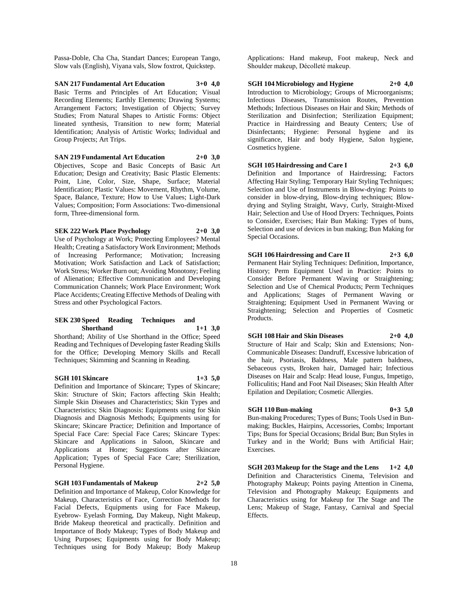Passa-Doble, Cha Cha, Standart Dances; European Tango, Slow vals (English), Viyana vals, Slow foxtrot, Quickstep.

**SAN 217 Fundamental Art Education 3+0 4,0** Basic Terms and Principles of Art Education; Visual Recording Elements; Earthly Elements; Drawing Systems; Arrangement Factors; Investigation of Objects; Survey Studies; From Natural Shapes to Artistic Forms: Object lineated synthesis, Transition to new form; Material Identification; Analysis of Artistic Works; Individual and Group Projects; Art Trips.

**SAN 219 Fundamental Art Education 2+0 3,0** Objectives, Scope and Basic Concepts of Basic Art Education; Design and Creativity; Basic Plastic Elements: Point, Line, Color, Size, Shape, Surface; Material Identification; Plastic Values: Movement, Rhythm, Volume, Space, Balance, Texture; How to Use Values; Light-Dark Values; Composition; Form Associations: Two-dimensional form, Three-dimensional form.

**SEK 222 Work Place Psychology 2+0 3,0**

Use of Psychology at Work; Protecting Employees? Mental Health; Creating a Satisfactory Work Environment; Methods of Increasing Performance; Motivation; Increasing Motivation; Work Satisfaction and Lack of Satisfaction; Work Stress; Worker Burn out; Avoiding Monotony; Feeling of Alienation; Effective Communication and Developing Communication Channels; Work Place Environment; Work Place Accidents; Creating Effective Methods of Dealing with Stress and other Psychological Factors.

#### **SEK 230 Speed Reading Techniques and Shorthand 1+1 3,0**

Shorthand; Ability of Use Shorthand in the Office; Speed Reading and Techniques of Developing faster Reading Skills for the Office; Developing Memory Skills and Recall Techniques; Skimming and Scanning in Reading.

#### **SGH 101 Skincare 1+3 5,0**

Definition and Importance of Skincare; Types of Skincare; Skin: Structure of Skin; Factors affecting Skin Health; Simple Skin Diseases and Characteristics; Skin Types and Characteristics; Skin Diagnosis: Equipments using for Skin Diagnosis and Diagnosis Methods; Equipments using for Skincare; Skincare Practice; Definition and Importance of Special Face Care: Special Face Cares; Skincare Types: Skincare and Applications in Saloon, Skincare and Applications at Home; Suggestions after Skincare Application; Types of Special Face Care; Sterilization, Personal Hygiene.

#### **SGH 103 Fundamentals of Makeup 2+2 5,0**

Definition and Importance of Makeup, Color Knowledge for Makeup, Characteristics of Face, Correction Methods for Facial Defects, Equipments using for Face Makeup, Eyebrow- Eyelash Forming, Day Makeup, Night Makeup, Bride Makeup theoretical and practically. Definition and Importance of Body Makeup; Types of Body Makeup and Using Purposes; Equipments using for Body Makeup; Techniques using for Body Makeup; Body Makeup

Applications: Hand makeup, Foot makeup, Neck and Shoulder makeup, Décolleté makeup.

**SGH 104 Microbiology and Hygiene 2+0 4,0** Introduction to Microbiology; Groups of Microorganisms; Infectious Diseases, Transmission Routes, Prevention Methods; Infectious Diseases on Hair and Skin; Methods of Sterilization and Disinfection; Sterilization Equipment; Practice in Hairdressing and Beauty Centers; Use of Disinfectants; Hygiene: Personal hygiene and its significance, Hair and body Hygiene, Salon hygiene, Cosmetics hygiene.

**SGH 105 Hairdressing and Care I 2+3 6,0** Definition and Importance of Hairdressing; Factors Affecting Hair Styling; Temporary Hair Styling Techniques; Selection and Use of Instruments in Blow-drying: Points to consider in blow-drying, Blow-drying techniques; Blowdrying and Styling Straight, Wavy, Curly, Straight-Mixed Hair; Selection and Use of Hood Dryers: Techniques, Points to Consider, Exercises; Hair Bun Making: Types of buns, Selection and use of devices in bun making; Bun Making for Special Occasions.

**SGH 106 Hairdressing and Care II 2+3 6,0** Permanent Hair Styling Techniques: Definition, Importance, History; Perm Equipment Used in Practice: Points to Consider Before Permanent Waving or Straightening; Selection and Use of Chemical Products; Perm Techniques and Applications; Stages of Permanent Waving or Straightening; Equipment Used in Permanent Waving or Straightening; Selection and Properties of Cosmetic Products.

#### **SGH 108 Hair and Skin Diseases 2+0 4,0**

Structure of Hair and Scalp; Skin and Extensions; Non-Communicable Diseases: Dandruff, Excessive lubrication of the hair, Psoriasis, Baldness, Male pattern baldness, Sebaceous cysts, Broken hair, Damaged hair; Infectious Diseases on Hair and Scalp: Head louse, Fungus, Impetigo, Folliculitis; Hand and Foot Nail Diseases; Skin Health After Epilation and Depilation; Cosmetic Allergies.

#### **SGH 110 Bun-making 0+3 5,0**

Bun-making Procedures; Types of Buns; Tools Used in Bunmaking; Buckles, Hairpins, Accessories, Combs; Important Tips; Buns for Special Occasions; Bridal Bun; Bun Styles in Turkey and in the World; Buns with Artificial Hair; Exercises.

**SGH 203 Makeup for the Stage and the Lens 1+2 4,0** Definition and Characteristics Cinema, Television and Photography Makeup; Points paying Attention in Cinema, Television and Photography Makeup; Equipments and Characteristics using for Makeup for The Stage and The Lens; Makeup of Stage, Fantasy, Carnival and Special **Effects**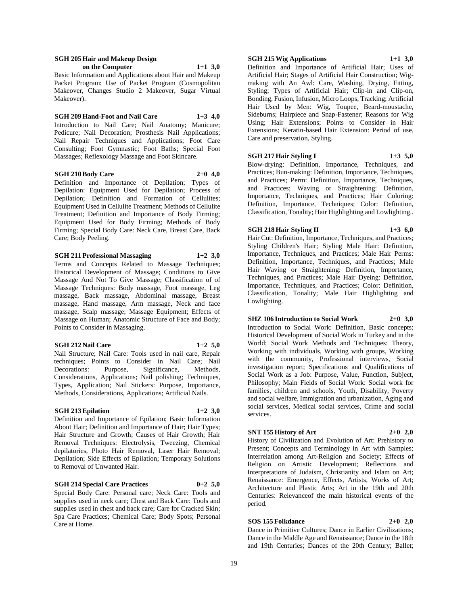#### **SGH 205 Hair and Makeup Design on the Computer 1+1 3,0**

Basic Information and Applications about Hair and Makeup Packet Program: Use of Packet Program (Cosmopolitan Makeover, Changes Studio 2 Makeover, Sugar Virtual Makeover).

### **SGH 209 Hand-Foot and Nail Care 1+3 4,0**

Introduction to Nail Care; Nail Anatomy; Manicure; Pedicure; Nail Decoration; Prosthesis Nail Applications; Nail Repair Techniques and Applications; Foot Care Consulting; Foot Gymnastic; Foot Baths; Special Foot Massages; Reflexology Massage and Foot Skincare.

## **SGH 210 Body Care 2+0 4,0**

Definition and Importance of Depilation; Types of Depilation: Equipment Used for Depilation; Process of Depilation; Definition and Formation of Cellulites; Equipment Used in Cellulite Treatment; Methods of Cellulite Treatment; Definition and Importance of Body Firming; Equipment Used for Body Firming; Methods of Body Firming; Special Body Care: Neck Care, Breast Care, Back Care; Body Peeling.

#### **SGH 211 Professional Massaging 1+2 3,0**

Terms and Concepts Related to Massage Techniques; Historical Development of Massage; Conditions to Give Massage And Not To Give Massage; Classification of of Massage Techniques: Body massage, Foot massage, Leg massage, Back massage, Abdominal massage, Breast massage, Hand massage, Arm massage, Neck and face massage, Scalp massage; Massage Equipment; Effects of Massage on Human; Anatomic Structure of Face and Body; Points to Consider in Massaging.

## **SGH 212 Nail Care 1+2 5,0**

Nail Structure; Nail Care: Tools used in nail care, Repair techniques; Points to Consider in Nail Care; Nail Decorations: Purpose, Significance, Methods, Considerations, Applications; Nail polishing; Techniques, Types, Application; Nail Stickers: Purpose, Importance, Methods, Considerations, Applications; Artificial Nails.

#### **SGH 213 Epilation 1+2 3,0**

Definition and Importance of Epilation; Basic Information About Hair; Definition and Importance of Hair; Hair Types; Hair Structure and Growth; Causes of Hair Growth; Hair Removal Techniques: Electrolysis, Tweezing, Chemical depilatories, Photo Hair Removal, Laser Hair Removal; Depilation; Side Effects of Epilation; Temporary Solutions to Removal of Unwanted Hair.

### **SGH 214 Special Care Practices 0+2 5,0**

Special Body Care: Personal care; Neck Care: Tools and supplies used in neck care; Chest and Back Care: Tools and supplies used in chest and back care; Care for Cracked Skin; Spa Care Practices; Chemical Care; Body Spots; Personal Care at Home.

## **SGH 215 Wig Applications 1+1 3,0**

Definition and Importance of Artificial Hair; Uses of Artificial Hair; Stages of Artificial Hair Construction; Wigmaking with An Awl: Care, Washing, Drying, Fitting, Styling; Types of Artificial Hair; Clip-in and Clip-on, Bonding, Fusion, Infusion, Micro Loops, Tracking; Artificial Hair Used by Men: Wig, Toupee, Beard-moustache, Sideburns; Hairpiece and Snap-Fastener; Reasons for Wig Using; Hair Extensions; Points to Consider in Hair Extensions; Keratin-based Hair Extension: Period of use, Care and preservation, Styling.

#### **SGH 217 Hair Styling I 1+3 5,0**

Blow-drying: Definition, Importance, Techniques, and Practices; Bun-making: Definition, Importance, Techniques, and Practices; Perm: Definition, Importance, Techniques, and Practices; Waving or Straightening: Definition, Importance, Techniques, and Practices; Hair Coloring: Definition, Importance, Techniques; Color: Definition, Classification, Tonality; Hair Highlighting and Lowlighting..

#### **SGH 218 Hair Styling II 1+3 6,0**

Hair Cut: Definition, Importance, Techniques, and Practices; Styling Children's Hair; Styling Male Hair: Definition, Importance, Techniques, and Practices; Male Hair Perms: Definition, Importance, Techniques, and Practices; Male Hair Waving or Straightening: Definition, Importance, Techniques, and Practices; Male Hair Dyeing: Definition, Importance, Techniques, and Practices; Color: Definition, Classification, Tonality; Male Hair Highlighting and Lowlighting.

**SHZ 106 Introduction to Social Work 2+0 3,0** Introduction to Social Work: Definition, Basic concepts; Historical Development of Social Work in Turkey and in the World; Social Work Methods and Techniques: Theory, Working with individuals, Working with groups, Working with the community, Professional interviews, Social investigation report; Specifications and Qualifications of Social Work as a Job: Purpose, Value, Function, Subject, Philosophy; Main Fields of Social Work: Social work for families, children and schools, Youth, Disability, Poverty and social welfare, Immigration and urbanization, Aging and social services, Medical social services, Crime and social services.

#### **SNT 155 History of Art 2+0 2,0**

History of Civilization and Evolution of Art: Prehistory to Present; Concepts and Terminology in Art with Samples; Interrelation among Art-Religion and Society; Effects of Religion on Artistic Development; Reflections and Interpretations of Judaism, Christianity and Islam on Art; Renaissance: Emergence, Effects, Artists, Works of Art; Architecture and Plastic Arts; Art in the 19th and 20th Centuries: Relevanceof the main historical events of the period.

## **SOS 155 Folkdance 2+0 2,0**

Dance in Primitive Cultures; Dance in Earlier Civilizations; Dance in the Middle Age and Renaissance; Dance in the 18th and 19th Centuries; Dances of the 20th Century; Ballet;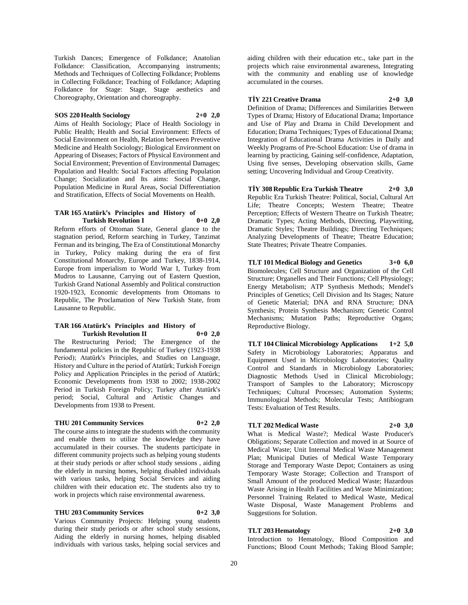Turkish Dances; Emergence of Folkdance; Anatolian Folkdance: Classification, Accompanying instruments; Methods and Techniques of Collecting Folkdance; Problems in Collecting Folkdance; Teaching of Folkdance; Adapting Folkdance for Stage: Stage, Stage aesthetics and Choreography, Orientation and choreography.

## **SOS 220 Health Sociology 2+0 2,0**

Aims of Health Sociology; Place of Health Sociology in Public Health; Health and Social Environment: Effects of Social Environment on Health, Relation between Preventive Medicine and Health Sociology; Biological Environment on Appearing of Diseases; Factors of Physical Environment and Social Environment; Prevention of Environmental Damages; Population and Health: Social Factors affecting Population Change; Socialization and Its aims: Social Change, Population Medicine in Rural Areas, Social Differentiation and Stratification, Effects of Social Movements on Health.

#### **TAR 165 Atatürk's Principles and History of Turkish Revolution I 0+0 2,0**

Reform efforts of Ottoman State, General glance to the stagnation period, Reform searching in Turkey, Tanzimat Ferman and its bringing, The Era of Constitutional Monarchy in Turkey, Policy making during the era of first Constitutional Monarchy, Europe and Turkey, 1838-1914, Europe from imperialism to World War I, Turkey from Mudros to Lausanne, Carrying out of Eastern Question, Turkish Grand National Assembly and Political construction 1920-1923, Economic developments from Ottomans to Republic, The Proclamation of New Turkish State, from Lausanne to Republic.

#### **TAR 166 Atatürk's Principles and History of Turkish Revolution II 0+0 2,0**

The Restructuring Period; The Emergence of the fundamental policies in the Republic of Turkey (1923-1938 Period); Atatürk's Principles, and Studies on Language, History and Culture in the period of Atatürk; Turkish Foreign Policy and Application Principles in the period of Atatürk; Economic Developments from 1938 to 2002; 1938-2002 Period in Turkish Foreign Policy; Turkey after Atatürk's period; Social, Cultural and Artistic Changes and Developments from 1938 to Present.

#### **THU 201 Community Services 0+2 2,0**

The course aims to integrate the students with the community and enable them to utilize the knowledge they have accumulated in their courses. The students participate in different community projects such as helping young students at their study periods or after school study sessions , aiding the elderly in nursing homes, helping disabled individuals with various tasks, helping Social Services and aiding children with their education etc. The students also try to work in projects which raise environmental awareness.

#### **THU 203 Community Services 0+2 3,0**

Various Community Projects: Helping young students during their study periods or after school study sessions, Aiding the elderly in nursing homes, helping disabled individuals with various tasks, helping social services and

aiding children with their education etc., take part in the projects which raise environmental awareness, Integrating with the community and enabling use of knowledge accumulated in the courses.

#### **TİY 221 Creative Drama 2+0 3,0**

Definition of Drama; Differences and Similarities Between Types of Drama; History of Educational Drama; Importance and Use of Play and Drama in Child Development and Education; Drama Techniques; Types of Educational Drama; Integration of Educational Drama Activities in Daily and Weekly Programs of Pre-School Education: Use of drama in learning by practicing, Gaining self-confidence, Adaptation, Using five senses, Developing observation skills, Game setting; Uncovering Individual and Group Creativity.

**TİY 308 Republic Era Turkish Theatre 2+0 3,0** Republic Era Turkish Theatre: Political, Social, Cultural Art Life; Theatre Concepts; Western Theatre; Theatre Perception; Effects of Western Theatre on Turkish Theatre; Dramatic Types; Acting Methods, Directing, Playwriting, Dramatic Styles; Theatre Buildings; Directing Techniques; Analyzing Developments of Theatre; Theatre Education; State Theatres; Private Theatre Companies.

**TLT 101 Medical Biology and Genetics 3+0 6,0** Biomolecules; Cell Structure and Organization of the Cell Structure; Organelles and Their Functions; Cell Physiology; Energy Metabolism; ATP Synthesis Methods; Mendel's Principles of Genetics; Cell Division and Its Stages; Nature of Genetic Material; DNA and RNA Structure; DNA Synthesis; Protein Synthesis Mechanism; Genetic Control Mechanisms; Mutation Paths; Reproductive Organs; Reproductive Biology.

**TLT 104 Clinical Microbiology Applications 1+2 5,0** Safety in Microbiology Laboratories; Apparatus and Equipment Used in Microbiology Laboratories; Quality Control and Standards in Microbiology Laboratories; Diagnostic Methods Used in Clinical Microbiology; Transport of Samples to the Laboratory; Microscopy Techniques; Cultural Processes; Automation Systems; Immunological Methods; Molecular Tests; Antibiogram Tests: Evaluation of Test Results.

#### **TLT 202 Medical Waste 2+0 3,0**

What is Medical Waste?; Medical Waste Producer's Obligations; Separate Collection and moved in at Source of Medical Waste; Unit Internal Medical Waste Management Plan; Municipal Duties of Medical Waste Temporary Storage and Temporary Waste Depot; Containers as using Temporary Waste Storage; Collection and Transport of Small Amount of the produced Medical Waste; Hazardous Waste Arising in Health Facilities and Waste Minimization; Personnel Training Related to Medical Waste, Medical Waste Disposal, Waste Management Problems and Suggestions for Solution.

#### **TLT 203 Hematology 2+0 3,0**

Introduction to Hematology, Blood Composition and Functions; Blood Count Methods; Taking Blood Sample;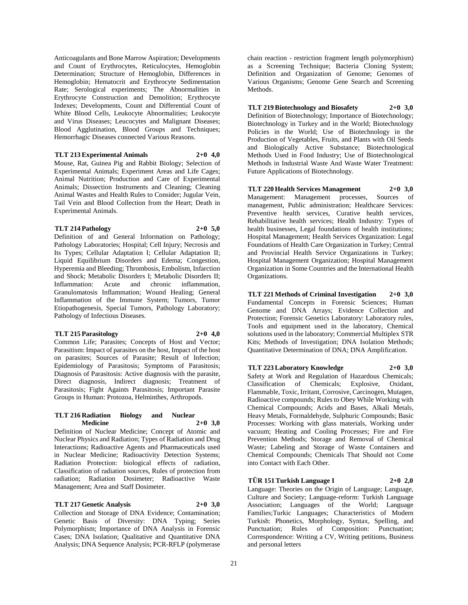Anticoagulants and Bone Marrow Aspiration; Developments and Count of Erythrocytes, Reticulocytes, Hemoglobin Determination; Structure of Hemoglobin, Differences in Hemoglobin; Hematocrit and Erythrocyte Sedimentation Rate; Serological experiments; The Abnormalities in Erythrocyte Construction and Demolition; Erythrocyte Indexes; Developments, Count and Differential Count of White Blood Cells, Leukocyte Abnormalities; Leukocyte and Virus Diseases; Leucocytes and Malignant Diseases; Blood Agglutination, Blood Groups and Techniques; Hemorrhagic Diseases connected Various Reasons.

#### **TLT 213 Experimental Animals 2+0 4,0**

Mouse, Rat, Guinea Pig and Rabbit Biology; Selection of Experimental Animals; Experiment Areas and Life Cages; Animal Nutrition; Production and Care of Experimental Animals; Dissection Instruments and Cleaning; Cleaning Animal Wastes and Health Rules to Consider; Jugular Vein, Tail Vein and Blood Collection from the Heart; Death in Experimental Animals.

#### **TLT 214 Pathology 2+0 5,0**

Definition of and General Information on Pathology; Pathology Laboratories; Hospital; Cell Injury; Necrosis and Its Types; Cellular Adaptation I; Cellular Adaptation II; Liquid Equilibrium Disorders and Edema; Congestion, Hyperemia and Bleeding; Thrombosis, Embolism, Infarction and Shock; Metabolic Disorders I; Metabolic Disorders II; Inflammation: Acute and chronic inflammation, Granulomatosis Inflammation; Wound Healing; General Inflammation of the Immune System; Tumors, Tumor Etiopathogenesis, Special Tumors, Pathology Laboratory; Pathology of Infectious Diseases.

#### **TLT 215 Parasitology 2+0 4,0**

Common Life; Parasites; Concepts of Host and Vector; Parasitism: Impact of parasites on the host, Impact of the host on parasites; Sources of Parasite; Result of Infection; Epidemiology of Parasitosis; Symptoms of Parasitosis; Diagnosis of Parasitosis: Active diagnosis with the parasite, Direct diagnosis, Indirect diagnosis; Treatment of Parasitosis; Fight Againts Parasitosis; Important Parasite Groups in Human: Protozoa, Helminthes, Arthropods.

#### **TLT 216 Radiation Biology and Nuclear Medicine 2+0 3,0**

Definition of Nuclear Medicine; Concept of Atomic and Nuclear Physics and Radiation; Types of Radiation and Drug Interactions; Radioactive Agents and Pharmaceuticals used in Nuclear Medicine; Radioactivity Detection Systems; Radiation Protection: biological effects of radiation, Classification of radiation sources, Rules of protection from radiation; Radiation Dosimeter; Radioactive Waste Management; Area and Staff Dosimeter.

#### **TLT 217 Genetic Analysis 2+0 3,0**

Collection and Storage of DNA Evidence; Contamination; Genetic Basis of Diversity: DNA Typing; Series Polymorphism; Importance of DNA Analysis in Forensic Cases; DNA Isolation; Qualitative and Quantitative DNA Analysis; DNA Sequence Analysis; PCR-RFLP (polymerase

chain reaction - restriction fragment length polymorphism) as a Screening Technique; Bacteria Cloning System; Definition and Organization of Genome; Genomes of Various Organisms; Genome Gene Search and Screening Methods.

**TLT 219 Biotechnology and Biosafety 2+0 3,0** Definition of Biotechnology; Importance of Biotechnology; Biotechnology in Turkey and in the World; Biotechnology Policies in the World; Use of Biotechnology in the Production of Vegetables, Fruits, and Plants with Oil Seeds and Biologically Active Substance; Biotechnological Methods Used in Food Industry; Use of Biotechnological Methods in Industrial Waste And Waste Water Treatment: Future Applications of Biotechnology.

**TLT 220 Health Services Management 2+0 3,0** Management: Management processes, Sources of management, Public administration; Healthcare Services: Preventive health services, Curative health services, Rehabilitative health services; Health Industry: Types of health businesses, Legal foundations of health institutions; Hospital Management; Health Services Organization: Legal Foundations of Health Care Organization in Turkey; Central and Provincial Health Service Organizations in Turkey; Hospital Management Organization; Hospital Management Organization in Some Countries and the International Health Organizations.

**TLT 221 Methods of Criminal Investigation 2+0 3,0** Fundamental Concepts in Forensic Sciences; Human Genome and DNA Arrays; Evidence Collection and Protection; Forensic Genetics Laboratory: Laboratory rules, Tools and equipment used in the laboratory, Chemical solutions used in the laboratory; Commercial Multiplex STR Kits; Methods of Investigation; DNA Isolation Methods; Quantitative Determination of DNA; DNA Amplification.

**TLT 223 Laboratory Knowledge 2+0 3,0** Safety at Work and Regulation of Hazardous Chemicals; Classification of Chemicals; Explosive, Oxidant, Flammable, Toxic, Irritant, Corrosive, Carcinogen, Mutagen, Radioactive compounds; Rules to Obey While Working with Chemical Compounds; Acids and Bases, Alkali Metals, Heavy Metals, Formaldehyde, Sulphuric Compounds; Basic Processes: Working with glass materials, Working under vacuum; Heating and Cooling Processes; Fire and Fire Prevention Methods; Storage and Removal of Chemical Waste; Labeling and Storage of Waste Containers and Chemical Compounds; Chemicals That Should not Come into Contact with Each Other.

#### **TÜR 151 Turkish Language I 2+0 2,0**

Language: Theories on the Origin of Language; Language, Culture and Society; Language-reform: Turkish Language Association; Languages of the World; Language Families;Turkic Languages; Characteristics of Modern Turkish: Phonetics, Morphology, Syntax, Spelling, and Punctuation; Rules of Composition: Punctuation; Correspondence: Writing a CV, Writing petitions, Business and personal letters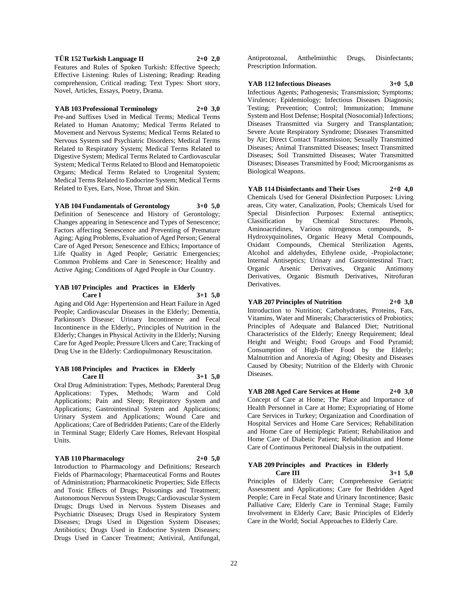## **TÜR 152 Turkish Language II 2+0 2,0**

Features and Rules of Spoken Turkish: Effective Speech; Effective Listening: Rules of Listening; Reading: Reading comprehension, Critical reading; Text Types: Short story, Novel, Articles, Essays, Poetry, Drama.

#### **YAB 103 Professional Terminology 2+0 3,0**

Pre-and Suffixes Used in Medical Terms; Medical Terms Related to Human Anatomy; Medical Terms Related to Movement and Nervous Systems; Medical Terms Related to Nervous System snd Psychiatric Disorders; Medical Terms Related to Respiratory System; Medical Terms Related to Digestive System; Medical Terms Related to Cardiovascular System; Medical Terms Related to Blood and Hematopoietic Organs; Medical Terms Related to Urogenital System; Medical Terms Related to Endocrine System; Medical Terms Related to Eyes, Ears, Nose, Throat and Skin.

#### **YAB 104 Fundamentals of Gerontology 3+0 5,0**

Definition of Senescence and History of Gerontology; Changes appearing in Senescence and Types of Senescence; Factors affecting Senescence and Preventing of Premature Aging; Aging Problems, Evaluation of Aged Person; General Care of Aged Person; Senescence and Ethics; Importance of Life Quality in Aged People; Geriatric Emergencies; Common Problems and Care in Senescence; Healthy and Active Aging; Conditions of Aged People in Our Country.

#### **YAB 107 Principles and Practices in Elderly**   $3+1$  **5.0**

Aging and Old Age: Hypertension and Heart Failure in Aged People; Cardiovascular Diseases in the Elderly; Dementia, Parkinson's Disease; Urinary Incontinence and Fecal Incontinence in the Elderly;, Principles of Nutrition in the Elderly; Changes in Physical Activity in the Elderly; Nursing Care for Aged People; Pressure Ulcers and Care; Tracking of Drug Use in the Elderly: Cardiopulmonary Resuscitation.

#### **YAB 108 Principles and Practices in Elderly Care II 3+1 5,0**

Oral Drug Administration: Types, Methods; Parenteral Drug Applications: Types, Methods; Warm and Cold Applications; Pain and Sleep; Respiratory System and Applications; Gastrointestinal System and Applications; Urinary System and Applications; Wound Care and Applications; Care of Bedridden Patients; Care of the Elderly in Terminal Stage; Elderly Care Homes, Relevant Hospital Units.

## **YAB 110 Pharmacology 2+0 5,0**

Introduction to Pharmacology and Definitions; Research Fields of Pharmacology; Pharmaceutical Forms and Routes of Administration; Pharmacokinetic Properties; Side Effects and Toxic Effects of Drugs; Poisonings and Treatment; Autonomous Nervous System Drugs; Cardiovascular System Drugs; Drugs Used in Nervous System Diseases and Psychiatric Diseases; Drugs Used in Respiratory System Diseases; Drugs Used in Digestion System Diseases; Antibiotics; Drugs Used in Endocrine System Diseases; Drugs Used in Cancer Treatment; Antiviral, Antifungal,

Antiprotozoal, Anthelminthic Drugs, Disinfectants; Prescription Information.

#### **YAB 112 Infectious Diseases 3+0 5,0**

Infectious Agents; Pathogenesis; Transmission; Symptoms; Virulence; Epidemiology; Infectious Diseases Diagnosis; Testing; Prevention; Control; Immunization; Immune System and Host Defense; Hospital (Nosocomial) Infections; Diseases Transmitted via Surgery and Transplantation; Severe Acute Respiratory Syndrome; Diseases Transmitted by Air; Direct Contact Transmission; Sexually Transmitted Diseases; Animal Transmitted Diseases; Insect Transmitted Diseases; Soil Transmitted Diseases; Water Transmitted Diseases; Diseases Transmitted by Food; Microorganisms as Biological Weapons.

**YAB 114 Disinfectants and Their Uses 2+0 4,0** Chemicals Used for General Disinfection Purposes: Living areas, City water, Canalization, Pools; Chemicals Used for Special Disinfection Purposes: External antiseptics; Classification by Chemical Structures: Phenols, Aminoacridines, Various nitrogenous compounds, 8- Hydroxyquinolines, Organic Heavy Metal Compounds, Oxidant Compounds, Chemical Sterilization Agents, Alcohol and aldehydes, Ethylene oxide, -Propiolactone; Internal Antiseptics; Urinary and Gastrointestinal Tract; Organic Arsenic Derivatives, Organic Antimony Derivatives, Organic Bismuth Derivatives, Nitrofuran Derivatives.

## **YAB 207 Principles of Nutrition 2+0 3,0**

Introduction to Nutrition; Carbohydrates, Proteins, Fats, Vitamins, Water and Minerals; Characteristics of Probiotics; Principles of Adequate and Balanced Diet; Nutritional Characteristics of the Elderly; Energy Requirement; Ideal Height and Weight; Food Groups and Food Pyramid; Consumption of High-fiber Food by the Elderly; Malnutrition and Anorexia of Aging; Obesity and Diseases Caused by Obesity; Nutrition of the Elderly with Chronic Diseases.

## **YAB 208 Aged Care Services at Home 2+0 3,0**

Concept of Care at Home; The Place and Importance of Health Personnel in Care at Home; Expropriating of Home Care Services in Turkey; Organization and Coordination of Hospital Services and Home Care Services; Rehabilitation and Home Care of Hemiplegic Patient; Rehabilitation and Home Care of Diabetic Patient; Rehabilitation and Home Care of Continuous Peritoneal Dialysis in the outpatient.

#### **YAB 209 Principles and Practices in Elderly Care III 3+1 5,0**

Principles of Elderly Care; Comprehensive Geriatric Assessment and Applications; Care for Bedridden Aged People; Care in Fecal State and Urinary Incontinence; Basic Palliative Care; Elderly Care in Terminal Stage; Family Involvement in Elderly Care; Basic Principles of Elderly Care in the World; Social Approaches to Elderly Care.